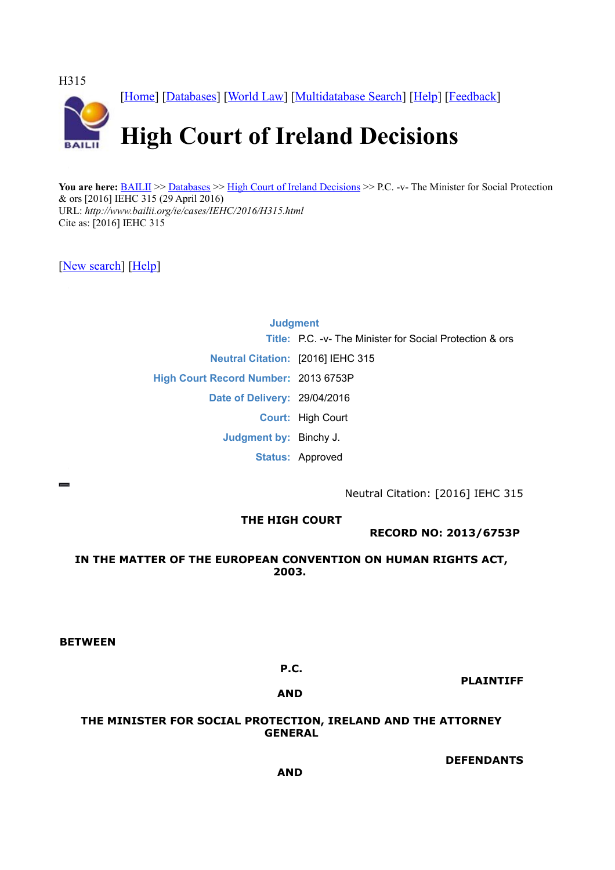

You are here: **BAILII** >> [Databases](http://www.bailii.org/databases.html) >> [High Court of Ireland Decisions](http://www.bailii.org/ie/cases/IEHC/) >> P.C. -v- The Minister for Social Protection & ors [2016] IEHC 315 (29 April 2016) URL: *http://www.bailii.org/ie/cases/IEHC/2016/H315.html* Cite as: [2016] IEHC 315

[\[New search\]](http://www.bailii.org/form/search_cases.html) [\[Help\]](http://www.bailii.org/bailii/help/)

# **Judgment Title:** P.C. -v- The Minister for Social Protection & ors **Neutral Citation:** [2016] IEHC 315 **High Court Record Number:** 2013 6753P **Date of Delivery:** 29/04/2016 **Court:** High Court **Judgment by:** Binchy J. **Status:** Approved

Neutral Citation: [2016] IEHC 315

# **THE HIGH COURT**

**RECORD NO: 2013/6753P** 

## **IN THE MATTER OF THE EUROPEAN CONVENTION ON HUMAN RIGHTS ACT, 2003.**

**BETWEEN** 

## **P.C.**

**PLAINTIFF**

**AND**

## **THE MINISTER FOR SOCIAL PROTECTION, IRELAND AND THE ATTORNEY GENERAL**

**DEFENDANTS**

**AND**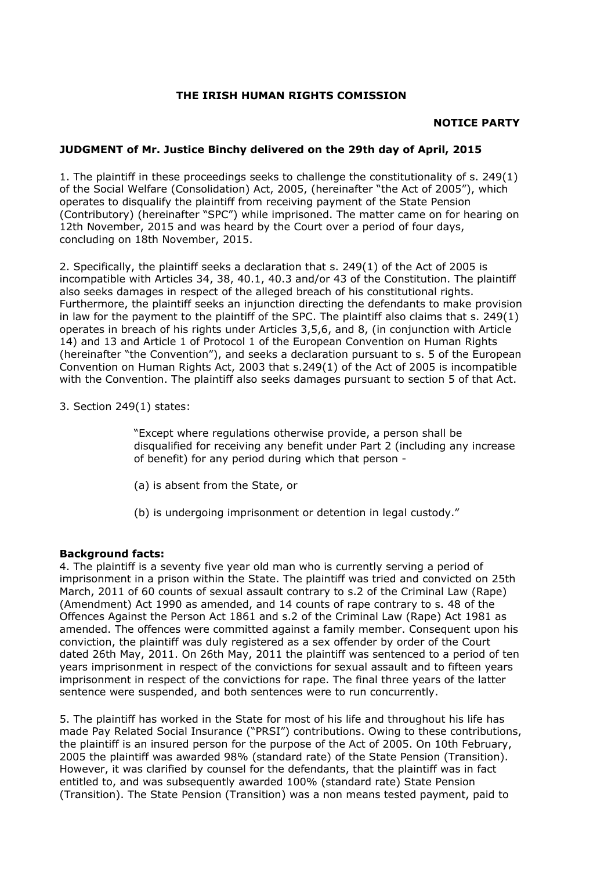## **THE IRISH HUMAN RIGHTS COMISSION**

## **NOTICE PARTY**

## **JUDGMENT of Mr. Justice Binchy delivered on the 29th day of April, 2015**

1. The plaintiff in these proceedings seeks to challenge the constitutionality of s. 249(1) of the Social Welfare (Consolidation) Act, 2005, (hereinafter "the Act of 2005"), which operates to disqualify the plaintiff from receiving payment of the State Pension (Contributory) (hereinafter "SPC") while imprisoned. The matter came on for hearing on 12th November, 2015 and was heard by the Court over a period of four days, concluding on 18th November, 2015.

2. Specifically, the plaintiff seeks a declaration that s. 249(1) of the Act of 2005 is incompatible with Articles 34, 38, 40.1, 40.3 and/or 43 of the Constitution. The plaintiff also seeks damages in respect of the alleged breach of his constitutional rights. Furthermore, the plaintiff seeks an injunction directing the defendants to make provision in law for the payment to the plaintiff of the SPC. The plaintiff also claims that s. 249(1) operates in breach of his rights under Articles 3,5,6, and 8, (in conjunction with Article 14) and 13 and Article 1 of Protocol 1 of the European Convention on Human Rights (hereinafter "the Convention"), and seeks a declaration pursuant to s. 5 of the European Convention on Human Rights Act, 2003 that s.249(1) of the Act of 2005 is incompatible with the Convention. The plaintiff also seeks damages pursuant to section 5 of that Act.

## 3. Section 249(1) states:

"Except where regulations otherwise provide, a person shall be disqualified for receiving any benefit under Part 2 (including any increase of benefit) for any period during which that person -

- (a) is absent from the State, or
- (b) is undergoing imprisonment or detention in legal custody."

## **Background facts:**

4. The plaintiff is a seventy five year old man who is currently serving a period of imprisonment in a prison within the State. The plaintiff was tried and convicted on 25th March, 2011 of 60 counts of sexual assault contrary to s.2 of the Criminal Law (Rape) (Amendment) Act 1990 as amended, and 14 counts of rape contrary to s. 48 of the Offences Against the Person Act 1861 and s.2 of the Criminal Law (Rape) Act 1981 as amended. The offences were committed against a family member. Consequent upon his conviction, the plaintiff was duly registered as a sex offender by order of the Court dated 26th May, 2011. On 26th May, 2011 the plaintiff was sentenced to a period of ten years imprisonment in respect of the convictions for sexual assault and to fifteen years imprisonment in respect of the convictions for rape. The final three years of the latter sentence were suspended, and both sentences were to run concurrently.

5. The plaintiff has worked in the State for most of his life and throughout his life has made Pay Related Social Insurance ("PRSI") contributions. Owing to these contributions, the plaintiff is an insured person for the purpose of the Act of 2005. On 10th February, 2005 the plaintiff was awarded 98% (standard rate) of the State Pension (Transition). However, it was clarified by counsel for the defendants, that the plaintiff was in fact entitled to, and was subsequently awarded 100% (standard rate) State Pension (Transition). The State Pension (Transition) was a non means tested payment, paid to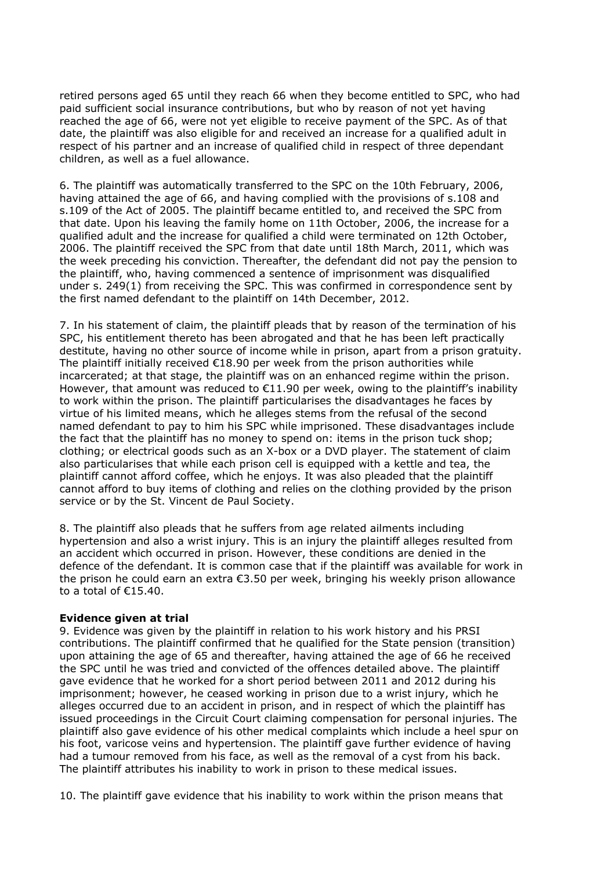retired persons aged 65 until they reach 66 when they become entitled to SPC, who had paid sufficient social insurance contributions, but who by reason of not yet having reached the age of 66, were not yet eligible to receive payment of the SPC. As of that date, the plaintiff was also eligible for and received an increase for a qualified adult in respect of his partner and an increase of qualified child in respect of three dependant children, as well as a fuel allowance.

6. The plaintiff was automatically transferred to the SPC on the 10th February, 2006, having attained the age of 66, and having complied with the provisions of s.108 and s.109 of the Act of 2005. The plaintiff became entitled to, and received the SPC from that date. Upon his leaving the family home on 11th October, 2006, the increase for a qualified adult and the increase for qualified a child were terminated on 12th October, 2006. The plaintiff received the SPC from that date until 18th March, 2011, which was the week preceding his conviction. Thereafter, the defendant did not pay the pension to the plaintiff, who, having commenced a sentence of imprisonment was disqualified under s. 249(1) from receiving the SPC. This was confirmed in correspondence sent by the first named defendant to the plaintiff on 14th December, 2012.

7. In his statement of claim, the plaintiff pleads that by reason of the termination of his SPC, his entitlement thereto has been abrogated and that he has been left practically destitute, having no other source of income while in prison, apart from a prison gratuity. The plaintiff initially received  $E18.90$  per week from the prison authorities while incarcerated; at that stage, the plaintiff was on an enhanced regime within the prison. However, that amount was reduced to €11.90 per week, owing to the plaintiff's inability to work within the prison. The plaintiff particularises the disadvantages he faces by virtue of his limited means, which he alleges stems from the refusal of the second named defendant to pay to him his SPC while imprisoned. These disadvantages include the fact that the plaintiff has no money to spend on: items in the prison tuck shop; clothing; or electrical goods such as an X-box or a DVD player. The statement of claim also particularises that while each prison cell is equipped with a kettle and tea, the plaintiff cannot afford coffee, which he enjoys. It was also pleaded that the plaintiff cannot afford to buy items of clothing and relies on the clothing provided by the prison service or by the St. Vincent de Paul Society.

8. The plaintiff also pleads that he suffers from age related ailments including hypertension and also a wrist injury. This is an injury the plaintiff alleges resulted from an accident which occurred in prison. However, these conditions are denied in the defence of the defendant. It is common case that if the plaintiff was available for work in the prison he could earn an extra €3.50 per week, bringing his weekly prison allowance to a total of €15.40.

## **Evidence given at trial**

9. Evidence was given by the plaintiff in relation to his work history and his PRSI contributions. The plaintiff confirmed that he qualified for the State pension (transition) upon attaining the age of 65 and thereafter, having attained the age of 66 he received the SPC until he was tried and convicted of the offences detailed above. The plaintiff gave evidence that he worked for a short period between 2011 and 2012 during his imprisonment; however, he ceased working in prison due to a wrist injury, which he alleges occurred due to an accident in prison, and in respect of which the plaintiff has issued proceedings in the Circuit Court claiming compensation for personal injuries. The plaintiff also gave evidence of his other medical complaints which include a heel spur on his foot, varicose veins and hypertension. The plaintiff gave further evidence of having had a tumour removed from his face, as well as the removal of a cyst from his back. The plaintiff attributes his inability to work in prison to these medical issues.

10. The plaintiff gave evidence that his inability to work within the prison means that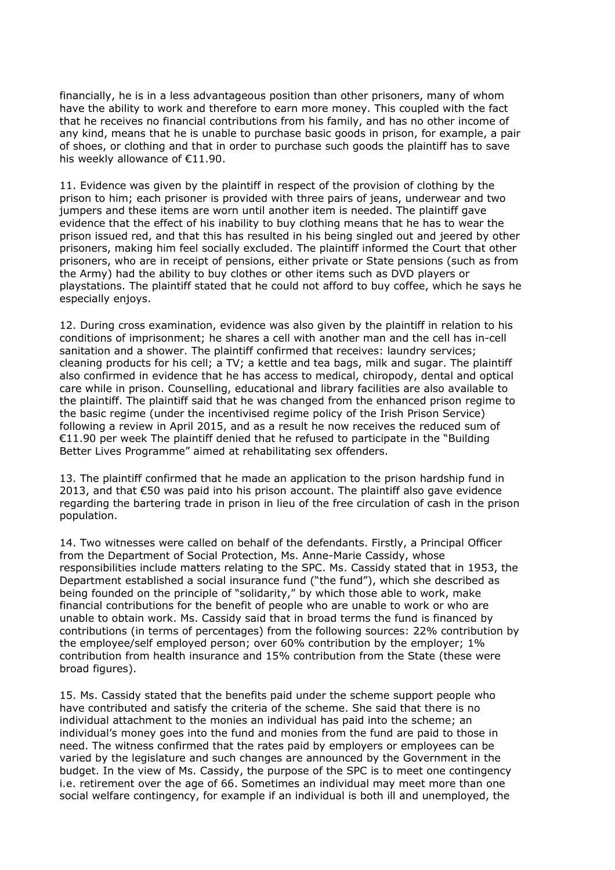financially, he is in a less advantageous position than other prisoners, many of whom have the ability to work and therefore to earn more money. This coupled with the fact that he receives no financial contributions from his family, and has no other income of any kind, means that he is unable to purchase basic goods in prison, for example, a pair of shoes, or clothing and that in order to purchase such goods the plaintiff has to save his weekly allowance of €11.90.

11. Evidence was given by the plaintiff in respect of the provision of clothing by the prison to him; each prisoner is provided with three pairs of jeans, underwear and two jumpers and these items are worn until another item is needed. The plaintiff gave evidence that the effect of his inability to buy clothing means that he has to wear the prison issued red, and that this has resulted in his being singled out and jeered by other prisoners, making him feel socially excluded. The plaintiff informed the Court that other prisoners, who are in receipt of pensions, either private or State pensions (such as from the Army) had the ability to buy clothes or other items such as DVD players or playstations. The plaintiff stated that he could not afford to buy coffee, which he says he especially enjoys.

12. During cross examination, evidence was also given by the plaintiff in relation to his conditions of imprisonment; he shares a cell with another man and the cell has in-cell sanitation and a shower. The plaintiff confirmed that receives: laundry services; cleaning products for his cell; a TV; a kettle and tea bags, milk and sugar. The plaintiff also confirmed in evidence that he has access to medical, chiropody, dental and optical care while in prison. Counselling, educational and library facilities are also available to the plaintiff. The plaintiff said that he was changed from the enhanced prison regime to the basic regime (under the incentivised regime policy of the Irish Prison Service) following a review in April 2015, and as a result he now receives the reduced sum of €11.90 per week The plaintiff denied that he refused to participate in the "Building Better Lives Programme" aimed at rehabilitating sex offenders.

13. The plaintiff confirmed that he made an application to the prison hardship fund in 2013, and that  $\epsilon$ 50 was paid into his prison account. The plaintiff also gave evidence regarding the bartering trade in prison in lieu of the free circulation of cash in the prison population.

14. Two witnesses were called on behalf of the defendants. Firstly, a Principal Officer from the Department of Social Protection, Ms. Anne-Marie Cassidy, whose responsibilities include matters relating to the SPC. Ms. Cassidy stated that in 1953, the Department established a social insurance fund ("the fund"), which she described as being founded on the principle of "solidarity," by which those able to work, make financial contributions for the benefit of people who are unable to work or who are unable to obtain work. Ms. Cassidy said that in broad terms the fund is financed by contributions (in terms of percentages) from the following sources: 22% contribution by the employee/self employed person; over 60% contribution by the employer; 1% contribution from health insurance and 15% contribution from the State (these were broad figures).

15. Ms. Cassidy stated that the benefits paid under the scheme support people who have contributed and satisfy the criteria of the scheme. She said that there is no individual attachment to the monies an individual has paid into the scheme; an individual's money goes into the fund and monies from the fund are paid to those in need. The witness confirmed that the rates paid by employers or employees can be varied by the legislature and such changes are announced by the Government in the budget. In the view of Ms. Cassidy, the purpose of the SPC is to meet one contingency i.e. retirement over the age of 66. Sometimes an individual may meet more than one social welfare contingency, for example if an individual is both ill and unemployed, the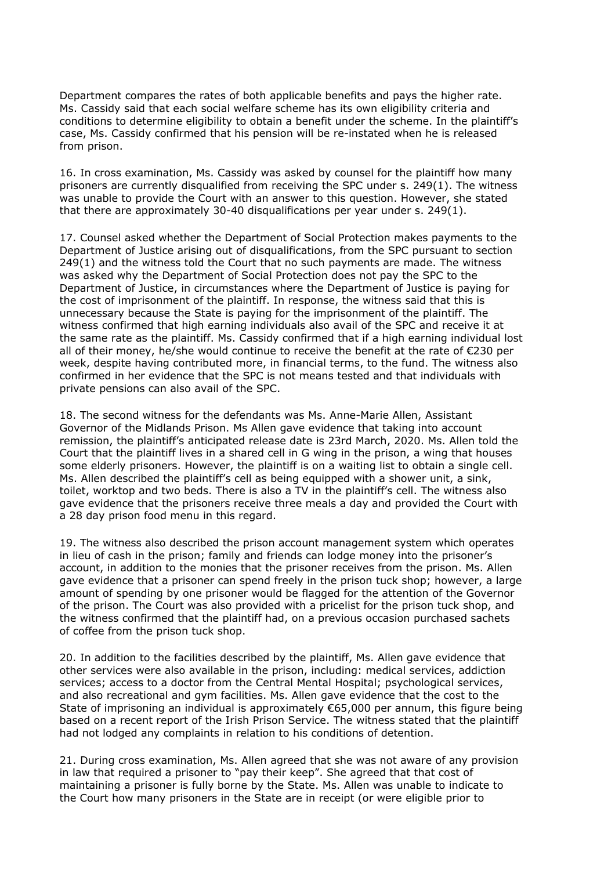Department compares the rates of both applicable benefits and pays the higher rate. Ms. Cassidy said that each social welfare scheme has its own eligibility criteria and conditions to determine eligibility to obtain a benefit under the scheme. In the plaintiff's case, Ms. Cassidy confirmed that his pension will be re-instated when he is released from prison.

16. In cross examination, Ms. Cassidy was asked by counsel for the plaintiff how many prisoners are currently disqualified from receiving the SPC under s. 249(1). The witness was unable to provide the Court with an answer to this question. However, she stated that there are approximately 30-40 disqualifications per year under s. 249(1).

17. Counsel asked whether the Department of Social Protection makes payments to the Department of Justice arising out of disqualifications, from the SPC pursuant to section 249(1) and the witness told the Court that no such payments are made. The witness was asked why the Department of Social Protection does not pay the SPC to the Department of Justice, in circumstances where the Department of Justice is paying for the cost of imprisonment of the plaintiff. In response, the witness said that this is unnecessary because the State is paying for the imprisonment of the plaintiff. The witness confirmed that high earning individuals also avail of the SPC and receive it at the same rate as the plaintiff. Ms. Cassidy confirmed that if a high earning individual lost all of their money, he/she would continue to receive the benefit at the rate of €230 per week, despite having contributed more, in financial terms, to the fund. The witness also confirmed in her evidence that the SPC is not means tested and that individuals with private pensions can also avail of the SPC.

18. The second witness for the defendants was Ms. Anne-Marie Allen, Assistant Governor of the Midlands Prison. Ms Allen gave evidence that taking into account remission, the plaintiff's anticipated release date is 23rd March, 2020. Ms. Allen told the Court that the plaintiff lives in a shared cell in G wing in the prison, a wing that houses some elderly prisoners. However, the plaintiff is on a waiting list to obtain a single cell. Ms. Allen described the plaintiff's cell as being equipped with a shower unit, a sink, toilet, worktop and two beds. There is also a TV in the plaintiff's cell. The witness also gave evidence that the prisoners receive three meals a day and provided the Court with a 28 day prison food menu in this regard.

19. The witness also described the prison account management system which operates in lieu of cash in the prison; family and friends can lodge money into the prisoner's account, in addition to the monies that the prisoner receives from the prison. Ms. Allen gave evidence that a prisoner can spend freely in the prison tuck shop; however, a large amount of spending by one prisoner would be flagged for the attention of the Governor of the prison. The Court was also provided with a pricelist for the prison tuck shop, and the witness confirmed that the plaintiff had, on a previous occasion purchased sachets of coffee from the prison tuck shop.

20. In addition to the facilities described by the plaintiff, Ms. Allen gave evidence that other services were also available in the prison, including: medical services, addiction services; access to a doctor from the Central Mental Hospital; psychological services, and also recreational and gym facilities. Ms. Allen gave evidence that the cost to the State of imprisoning an individual is approximately €65,000 per annum, this figure being based on a recent report of the Irish Prison Service. The witness stated that the plaintiff had not lodged any complaints in relation to his conditions of detention.

21. During cross examination, Ms. Allen agreed that she was not aware of any provision in law that required a prisoner to "pay their keep". She agreed that that cost of maintaining a prisoner is fully borne by the State. Ms. Allen was unable to indicate to the Court how many prisoners in the State are in receipt (or were eligible prior to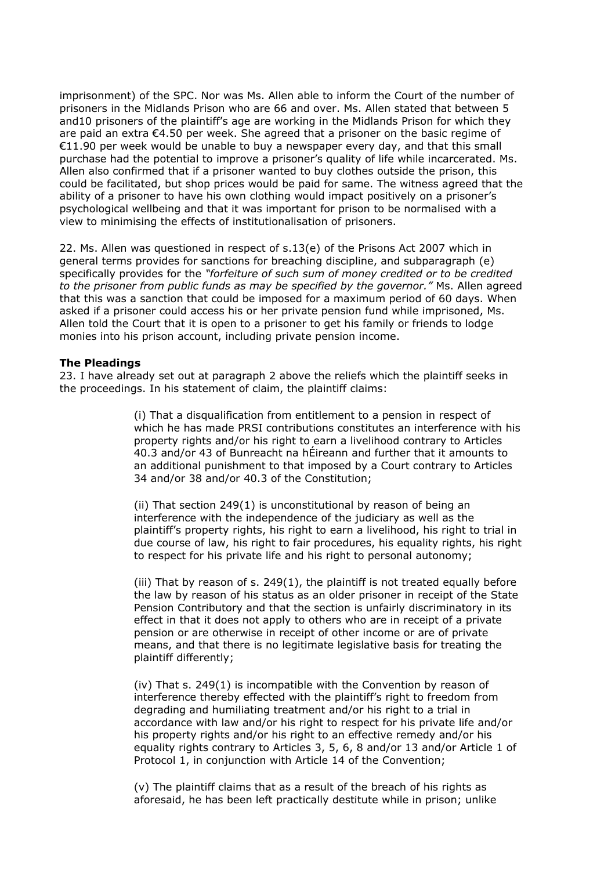imprisonment) of the SPC. Nor was Ms. Allen able to inform the Court of the number of prisoners in the Midlands Prison who are 66 and over. Ms. Allen stated that between 5 and10 prisoners of the plaintiff's age are working in the Midlands Prison for which they are paid an extra €4.50 per week. She agreed that a prisoner on the basic regime of €11.90 per week would be unable to buy a newspaper every day, and that this small purchase had the potential to improve a prisoner's quality of life while incarcerated. Ms. Allen also confirmed that if a prisoner wanted to buy clothes outside the prison, this could be facilitated, but shop prices would be paid for same. The witness agreed that the ability of a prisoner to have his own clothing would impact positively on a prisoner's psychological wellbeing and that it was important for prison to be normalised with a view to minimising the effects of institutionalisation of prisoners.

22. Ms. Allen was questioned in respect of s.13(e) of the Prisons Act 2007 which in general terms provides for sanctions for breaching discipline, and subparagraph (e) specifically provides for the *"forfeiture of such sum of money credited or to be credited to the prisoner from public funds as may be specified by the governor."* Ms. Allen agreed that this was a sanction that could be imposed for a maximum period of 60 days. When asked if a prisoner could access his or her private pension fund while imprisoned, Ms. Allen told the Court that it is open to a prisoner to get his family or friends to lodge monies into his prison account, including private pension income.

#### **The Pleadings**

23. I have already set out at paragraph 2 above the reliefs which the plaintiff seeks in the proceedings. In his statement of claim, the plaintiff claims:

> (i) That a disqualification from entitlement to a pension in respect of which he has made PRSI contributions constitutes an interference with his property rights and/or his right to earn a livelihood contrary to Articles 40.3 and/or 43 of Bunreacht na hÉireann and further that it amounts to an additional punishment to that imposed by a Court contrary to Articles 34 and/or 38 and/or 40.3 of the Constitution;

> (ii) That section 249(1) is unconstitutional by reason of being an interference with the independence of the judiciary as well as the plaintiff's property rights, his right to earn a livelihood, his right to trial in due course of law, his right to fair procedures, his equality rights, his right to respect for his private life and his right to personal autonomy;

(iii) That by reason of s. 249(1), the plaintiff is not treated equally before the law by reason of his status as an older prisoner in receipt of the State Pension Contributory and that the section is unfairly discriminatory in its effect in that it does not apply to others who are in receipt of a private pension or are otherwise in receipt of other income or are of private means, and that there is no legitimate legislative basis for treating the plaintiff differently;

(iv) That s. 249(1) is incompatible with the Convention by reason of interference thereby effected with the plaintiff's right to freedom from degrading and humiliating treatment and/or his right to a trial in accordance with law and/or his right to respect for his private life and/or his property rights and/or his right to an effective remedy and/or his equality rights contrary to Articles 3, 5, 6, 8 and/or 13 and/or Article 1 of Protocol 1, in conjunction with Article 14 of the Convention;

(v) The plaintiff claims that as a result of the breach of his rights as aforesaid, he has been left practically destitute while in prison; unlike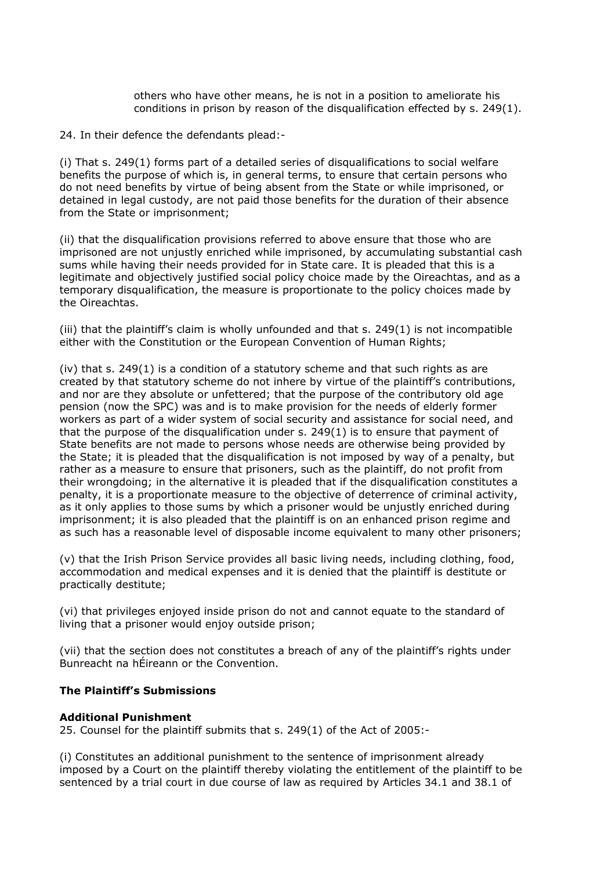others who have other means, he is not in a position to ameliorate his conditions in prison by reason of the disqualification effected by s. 249(1).

24. In their defence the defendants plead:-

(i) That s. 249(1) forms part of a detailed series of disqualifications to social welfare benefits the purpose of which is, in general terms, to ensure that certain persons who do not need benefits by virtue of being absent from the State or while imprisoned, or detained in legal custody, are not paid those benefits for the duration of their absence from the State or imprisonment;

(ii) that the disqualification provisions referred to above ensure that those who are imprisoned are not unjustly enriched while imprisoned, by accumulating substantial cash sums while having their needs provided for in State care. It is pleaded that this is a legitimate and objectively justified social policy choice made by the Oireachtas, and as a temporary disqualification, the measure is proportionate to the policy choices made by the Oireachtas.

(iii) that the plaintiff's claim is wholly unfounded and that s. 249(1) is not incompatible either with the Constitution or the European Convention of Human Rights;

(iv) that s. 249(1) is a condition of a statutory scheme and that such rights as are created by that statutory scheme do not inhere by virtue of the plaintiff's contributions, and nor are they absolute or unfettered; that the purpose of the contributory old age pension (now the SPC) was and is to make provision for the needs of elderly former workers as part of a wider system of social security and assistance for social need, and that the purpose of the disqualification under s. 249(1) is to ensure that payment of State benefits are not made to persons whose needs are otherwise being provided by the State; it is pleaded that the disqualification is not imposed by way of a penalty, but rather as a measure to ensure that prisoners, such as the plaintiff, do not profit from their wrongdoing; in the alternative it is pleaded that if the disqualification constitutes a penalty, it is a proportionate measure to the objective of deterrence of criminal activity, as it only applies to those sums by which a prisoner would be unjustly enriched during imprisonment; it is also pleaded that the plaintiff is on an enhanced prison regime and as such has a reasonable level of disposable income equivalent to many other prisoners;

(v) that the Irish Prison Service provides all basic living needs, including clothing, food, accommodation and medical expenses and it is denied that the plaintiff is destitute or practically destitute;

(vi) that privileges enjoyed inside prison do not and cannot equate to the standard of living that a prisoner would enjoy outside prison;

(vii) that the section does not constitutes a breach of any of the plaintiff's rights under Bunreacht na hÉireann or the Convention.

## **The Plaintiff's Submissions**

#### **Additional Punishment**

25. Counsel for the plaintiff submits that s. 249(1) of the Act of 2005:-

(i) Constitutes an additional punishment to the sentence of imprisonment already imposed by a Court on the plaintiff thereby violating the entitlement of the plaintiff to be sentenced by a trial court in due course of law as required by Articles 34.1 and 38.1 of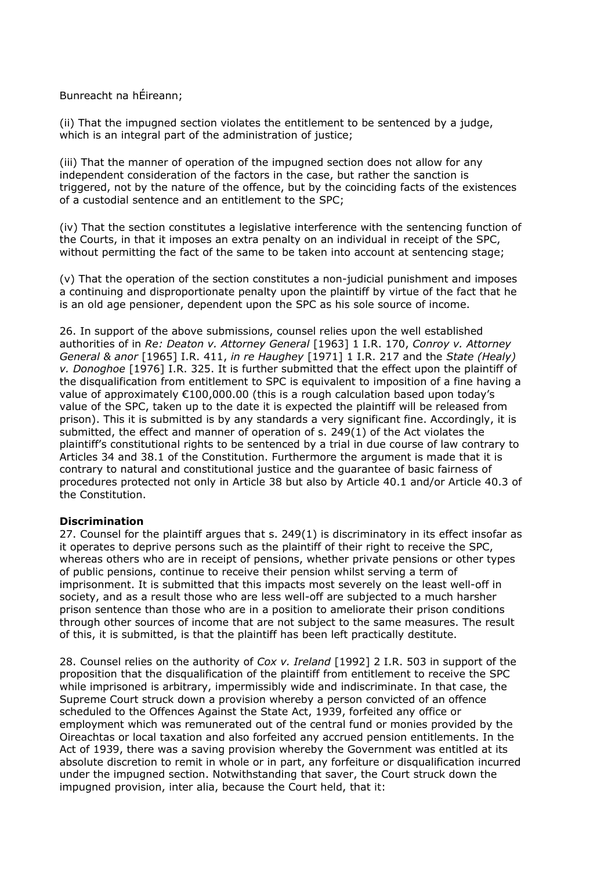Bunreacht na hÉireann;

(ii) That the impugned section violates the entitlement to be sentenced by a judge, which is an integral part of the administration of justice;

(iii) That the manner of operation of the impugned section does not allow for any independent consideration of the factors in the case, but rather the sanction is triggered, not by the nature of the offence, but by the coinciding facts of the existences of a custodial sentence and an entitlement to the SPC;

(iv) That the section constitutes a legislative interference with the sentencing function of the Courts, in that it imposes an extra penalty on an individual in receipt of the SPC, without permitting the fact of the same to be taken into account at sentencing stage;

(v) That the operation of the section constitutes a non-judicial punishment and imposes a continuing and disproportionate penalty upon the plaintiff by virtue of the fact that he is an old age pensioner, dependent upon the SPC as his sole source of income.

26. In support of the above submissions, counsel relies upon the well established authorities of in *Re: Deaton v. Attorney General* [1963] 1 I.R. 170, *Conroy v. Attorney General & anor* [1965] I.R. 411, *in re Haughey* [1971] 1 I.R. 217 and the *State (Healy) v. Donoghoe* [1976] I.R. 325. It is further submitted that the effect upon the plaintiff of the disqualification from entitlement to SPC is equivalent to imposition of a fine having a value of approximately €100,000.00 (this is a rough calculation based upon today's value of the SPC, taken up to the date it is expected the plaintiff will be released from prison). This it is submitted is by any standards a very significant fine. Accordingly, it is submitted, the effect and manner of operation of s. 249(1) of the Act violates the plaintiff's constitutional rights to be sentenced by a trial in due course of law contrary to Articles 34 and 38.1 of the Constitution. Furthermore the argument is made that it is contrary to natural and constitutional justice and the guarantee of basic fairness of procedures protected not only in Article 38 but also by Article 40.1 and/or Article 40.3 of the Constitution.

## **Discrimination**

27. Counsel for the plaintiff argues that s. 249(1) is discriminatory in its effect insofar as it operates to deprive persons such as the plaintiff of their right to receive the SPC, whereas others who are in receipt of pensions, whether private pensions or other types of public pensions, continue to receive their pension whilst serving a term of imprisonment. It is submitted that this impacts most severely on the least well-off in society, and as a result those who are less well-off are subjected to a much harsher prison sentence than those who are in a position to ameliorate their prison conditions through other sources of income that are not subject to the same measures. The result of this, it is submitted, is that the plaintiff has been left practically destitute.

28. Counsel relies on the authority of *Cox v. Ireland* [1992] 2 I.R. 503 in support of the proposition that the disqualification of the plaintiff from entitlement to receive the SPC while imprisoned is arbitrary, impermissibly wide and indiscriminate. In that case, the Supreme Court struck down a provision whereby a person convicted of an offence scheduled to the Offences Against the State Act, 1939, forfeited any office or employment which was remunerated out of the central fund or monies provided by the Oireachtas or local taxation and also forfeited any accrued pension entitlements. In the Act of 1939, there was a saving provision whereby the Government was entitled at its absolute discretion to remit in whole or in part, any forfeiture or disqualification incurred under the impugned section. Notwithstanding that saver, the Court struck down the impugned provision, inter alia, because the Court held, that it: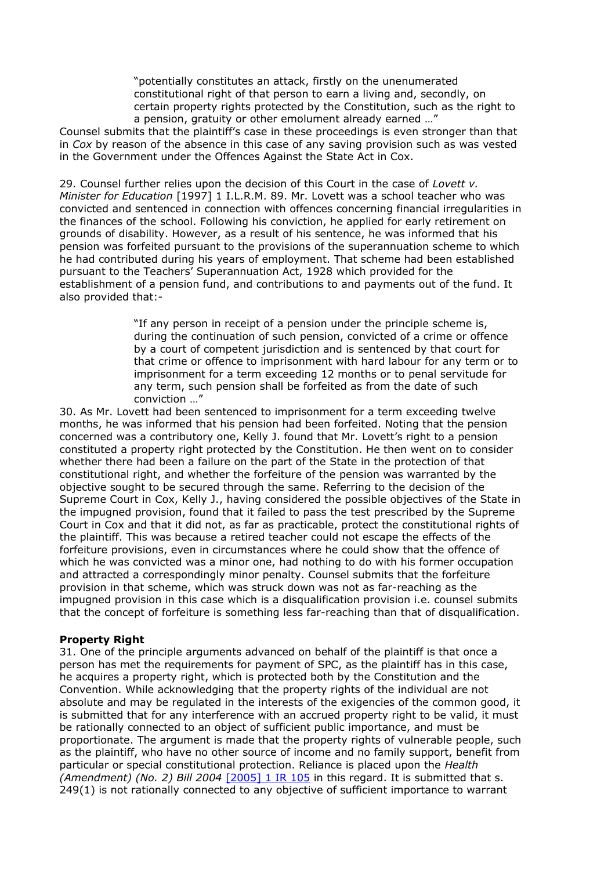"potentially constitutes an attack, firstly on the unenumerated constitutional right of that person to earn a living and, secondly, on certain property rights protected by the Constitution, such as the right to a pension, gratuity or other emolument already earned …"

Counsel submits that the plaintiff's case in these proceedings is even stronger than that in *Cox* by reason of the absence in this case of any saving provision such as was vested in the Government under the Offences Against the State Act in Cox.

29. Counsel further relies upon the decision of this Court in the case of *Lovett v. Minister for Education* [1997] 1 I.L.R.M. 89. Mr. Lovett was a school teacher who was convicted and sentenced in connection with offences concerning financial irregularities in the finances of the school. Following his conviction, he applied for early retirement on grounds of disability. However, as a result of his sentence, he was informed that his pension was forfeited pursuant to the provisions of the superannuation scheme to which he had contributed during his years of employment. That scheme had been established pursuant to the Teachers' Superannuation Act, 1928 which provided for the establishment of a pension fund, and contributions to and payments out of the fund. It also provided that:-

> "If any person in receipt of a pension under the principle scheme is, during the continuation of such pension, convicted of a crime or offence by a court of competent jurisdiction and is sentenced by that court for that crime or offence to imprisonment with hard labour for any term or to imprisonment for a term exceeding 12 months or to penal servitude for any term, such pension shall be forfeited as from the date of such conviction …"

30. As Mr. Lovett had been sentenced to imprisonment for a term exceeding twelve months, he was informed that his pension had been forfeited. Noting that the pension concerned was a contributory one, Kelly J. found that Mr. Lovett's right to a pension constituted a property right protected by the Constitution. He then went on to consider whether there had been a failure on the part of the State in the protection of that constitutional right, and whether the forfeiture of the pension was warranted by the objective sought to be secured through the same. Referring to the decision of the Supreme Court in Cox, Kelly J., having considered the possible objectives of the State in the impugned provision, found that it failed to pass the test prescribed by the Supreme Court in Cox and that it did not, as far as practicable, protect the constitutional rights of the plaintiff. This was because a retired teacher could not escape the effects of the forfeiture provisions, even in circumstances where he could show that the offence of which he was convicted was a minor one, had nothing to do with his former occupation and attracted a correspondingly minor penalty. Counsel submits that the forfeiture provision in that scheme, which was struck down was not as far-reaching as the impugned provision in this case which is a disqualification provision i.e. counsel submits that the concept of forfeiture is something less far-reaching than that of disqualification.

## **Property Right**

31. One of the principle arguments advanced on behalf of the plaintiff is that once a person has met the requirements for payment of SPC, as the plaintiff has in this case, he acquires a property right, which is protected both by the Constitution and the Convention. While acknowledging that the property rights of the individual are not absolute and may be regulated in the interests of the exigencies of the common good, it is submitted that for any interference with an accrued property right to be valid, it must be rationally connected to an object of sufficient public importance, and must be proportionate. The argument is made that the property rights of vulnerable people, such as the plaintiff, who have no other source of income and no family support, benefit from particular or special constitutional protection. Reliance is placed upon the *Health (Amendment) (No. 2) Bill 2004* [\[2005\] 1 IR 105](http://www.bailii.org/cgi-bin/redirect.cgi?path=/ie/cases/IESC/2005/7.html) in this regard. It is submitted that s. 249(1) is not rationally connected to any objective of sufficient importance to warrant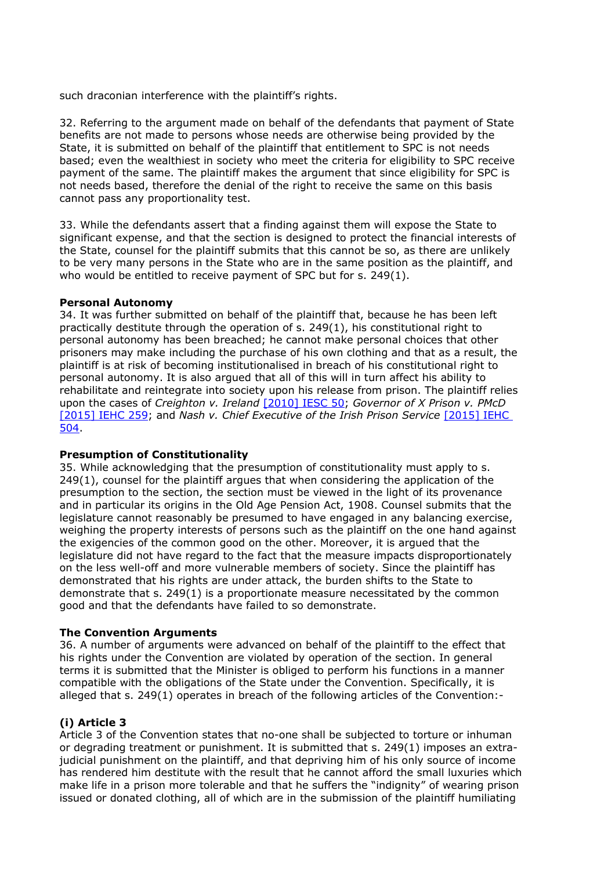such draconian interference with the plaintiff's rights.

32. Referring to the argument made on behalf of the defendants that payment of State benefits are not made to persons whose needs are otherwise being provided by the State, it is submitted on behalf of the plaintiff that entitlement to SPC is not needs based; even the wealthiest in society who meet the criteria for eligibility to SPC receive payment of the same. The plaintiff makes the argument that since eligibility for SPC is not needs based, therefore the denial of the right to receive the same on this basis cannot pass any proportionality test.

33. While the defendants assert that a finding against them will expose the State to significant expense, and that the section is designed to protect the financial interests of the State, counsel for the plaintiff submits that this cannot be so, as there are unlikely to be very many persons in the State who are in the same position as the plaintiff, and who would be entitled to receive payment of SPC but for s. 249(1).

## **Personal Autonomy**

34. It was further submitted on behalf of the plaintiff that, because he has been left practically destitute through the operation of s. 249(1), his constitutional right to personal autonomy has been breached; he cannot make personal choices that other prisoners may make including the purchase of his own clothing and that as a result, the plaintiff is at risk of becoming institutionalised in breach of his constitutional right to personal autonomy. It is also argued that all of this will in turn affect his ability to rehabilitate and reintegrate into society upon his release from prison. The plaintiff relies upon the cases of *Creighton v. Ireland* [\[2010\] IESC 50;](http://www.bailii.org/ie/cases/IESC/2010/S50.html) *Governor of X Prison v. PMcD* [\[2015\] IEHC 259;](http://www.bailii.org/ie/cases/IEHC/2015/H259.html) and *Nash v. Chief Executive of the Irish Prison Service* [\[2015\] IEHC](http://www.bailii.org/ie/cases/IEHC/2015/H504.html)  [504.](http://www.bailii.org/ie/cases/IEHC/2015/H504.html)

## **Presumption of Constitutionality**

35. While acknowledging that the presumption of constitutionality must apply to s. 249(1), counsel for the plaintiff argues that when considering the application of the presumption to the section, the section must be viewed in the light of its provenance and in particular its origins in the Old Age Pension Act, 1908. Counsel submits that the legislature cannot reasonably be presumed to have engaged in any balancing exercise, weighing the property interests of persons such as the plaintiff on the one hand against the exigencies of the common good on the other. Moreover, it is argued that the legislature did not have regard to the fact that the measure impacts disproportionately on the less well-off and more vulnerable members of society. Since the plaintiff has demonstrated that his rights are under attack, the burden shifts to the State to demonstrate that s. 249(1) is a proportionate measure necessitated by the common good and that the defendants have failed to so demonstrate.

# **The Convention Arguments**

36. A number of arguments were advanced on behalf of the plaintiff to the effect that his rights under the Convention are violated by operation of the section. In general terms it is submitted that the Minister is obliged to perform his functions in a manner compatible with the obligations of the State under the Convention. Specifically, it is alleged that s. 249(1) operates in breach of the following articles of the Convention:-

# **(i) Article 3**

Article 3 of the Convention states that no-one shall be subjected to torture or inhuman or degrading treatment or punishment. It is submitted that s. 249(1) imposes an extrajudicial punishment on the plaintiff, and that depriving him of his only source of income has rendered him destitute with the result that he cannot afford the small luxuries which make life in a prison more tolerable and that he suffers the "indignity" of wearing prison issued or donated clothing, all of which are in the submission of the plaintiff humiliating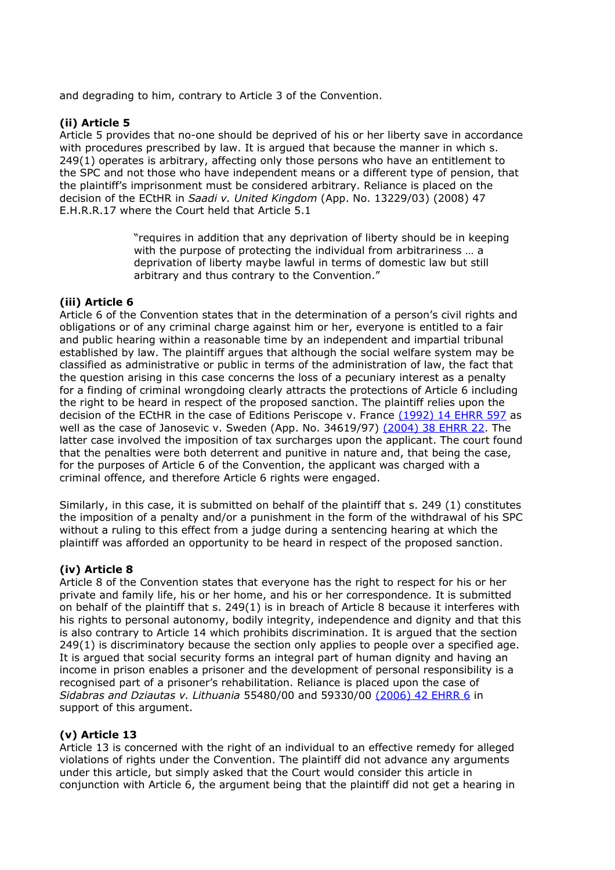and degrading to him, contrary to Article 3 of the Convention.

# **(ii) Article 5**

Article 5 provides that no-one should be deprived of his or her liberty save in accordance with procedures prescribed by law. It is argued that because the manner in which s. 249(1) operates is arbitrary, affecting only those persons who have an entitlement to the SPC and not those who have independent means or a different type of pension, that the plaintiff's imprisonment must be considered arbitrary. Reliance is placed on the decision of the ECtHR in *Saadi v. United Kingdom* (App. No. 13229/03) (2008) 47 E.H.R.R.17 where the Court held that Article 5.1

> "requires in addition that any deprivation of liberty should be in keeping with the purpose of protecting the individual from arbitrariness … a deprivation of liberty maybe lawful in terms of domestic law but still arbitrary and thus contrary to the Convention."

# **(iii) Article 6**

Article 6 of the Convention states that in the determination of a person's civil rights and obligations or of any criminal charge against him or her, everyone is entitled to a fair and public hearing within a reasonable time by an independent and impartial tribunal established by law. The plaintiff argues that although the social welfare system may be classified as administrative or public in terms of the administration of law, the fact that the question arising in this case concerns the loss of a pecuniary interest as a penalty for a finding of criminal wrongdoing clearly attracts the protections of Article 6 including the right to be heard in respect of the proposed sanction. The plaintiff relies upon the decision of the ECtHR in the case of Editions Periscope v. France [\(1992\) 14 EHRR 597](http://www.bailii.org/cgi-bin/redirect.cgi?path=/eu/cases/ECHR/1992/43.html) as well as the case of Janosevic v. Sweden (App. No. 34619/97) [\(2004\) 38 EHRR 22.](http://www.bailii.org/cgi-bin/redirect.cgi?path=/eu/cases/ECHR/2002/618.html) The latter case involved the imposition of tax surcharges upon the applicant. The court found that the penalties were both deterrent and punitive in nature and, that being the case, for the purposes of Article 6 of the Convention, the applicant was charged with a criminal offence, and therefore Article 6 rights were engaged.

Similarly, in this case, it is submitted on behalf of the plaintiff that s. 249 (1) constitutes the imposition of a penalty and/or a punishment in the form of the withdrawal of his SPC without a ruling to this effect from a judge during a sentencing hearing at which the plaintiff was afforded an opportunity to be heard in respect of the proposed sanction.

# **(iv) Article 8**

Article 8 of the Convention states that everyone has the right to respect for his or her private and family life, his or her home, and his or her correspondence. It is submitted on behalf of the plaintiff that s. 249(1) is in breach of Article 8 because it interferes with his rights to personal autonomy, bodily integrity, independence and dignity and that this is also contrary to Article 14 which prohibits discrimination. It is argued that the section 249(1) is discriminatory because the section only applies to people over a specified age. It is argued that social security forms an integral part of human dignity and having an income in prison enables a prisoner and the development of personal responsibility is a recognised part of a prisoner's rehabilitation. Reliance is placed upon the case of *Sidabras and Dziautas v. Lithuania* 55480/00 and 59330/00 [\(2006\) 42 EHRR 6](http://www.bailii.org/cgi-bin/redirect.cgi?path=/eu/cases/ECHR/2004/395.html) in support of this argument.

# **(v) Article 13**

Article 13 is concerned with the right of an individual to an effective remedy for alleged violations of rights under the Convention. The plaintiff did not advance any arguments under this article, but simply asked that the Court would consider this article in conjunction with Article 6, the argument being that the plaintiff did not get a hearing in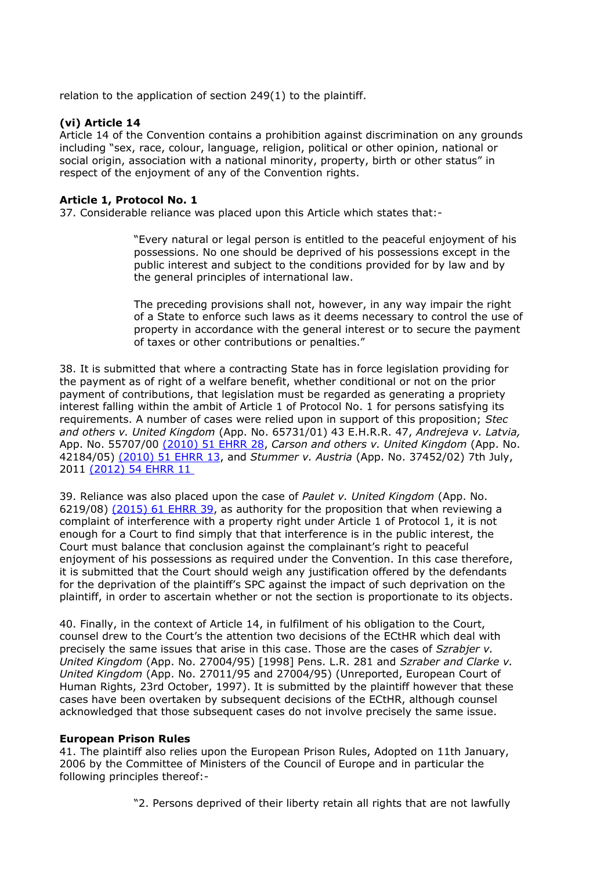relation to the application of section 249(1) to the plaintiff.

## **(vi) Article 14**

Article 14 of the Convention contains a prohibition against discrimination on any grounds including "sex, race, colour, language, religion, political or other opinion, national or social origin, association with a national minority, property, birth or other status" in respect of the enjoyment of any of the Convention rights.

## **Article 1, Protocol No. 1**

37. Considerable reliance was placed upon this Article which states that:-

"Every natural or legal person is entitled to the peaceful enjoyment of his possessions. No one should be deprived of his possessions except in the public interest and subject to the conditions provided for by law and by the general principles of international law.

The preceding provisions shall not, however, in any way impair the right of a State to enforce such laws as it deems necessary to control the use of property in accordance with the general interest or to secure the payment of taxes or other contributions or penalties."

38. It is submitted that where a contracting State has in force legislation providing for the payment as of right of a welfare benefit, whether conditional or not on the prior payment of contributions, that legislation must be regarded as generating a propriety interest falling within the ambit of Article 1 of Protocol No. 1 for persons satisfying its requirements. A number of cases were relied upon in support of this proposition; *Stec and others v. United Kingdom* (App. No. 65731/01) 43 E.H.R.R. 47, *Andrejeva v. Latvia,* App. No. 55707/00 [\(2010\) 51 EHRR 28,](http://www.bailii.org/cgi-bin/redirect.cgi?path=/eu/cases/ECHR/2009/297.html) *Carson and others v. United Kingdom* (App. No. 42184/05) [\(2010\) 51 EHRR 13,](http://www.bailii.org/cgi-bin/redirect.cgi?path=/eu/cases/ECHR/2010/338.html) and *Stummer v. Austria* (App. No. 37452/02) 7th July, 2011 [\(2012\) 54 EHRR 11](http://www.bailii.org/cgi-bin/redirect.cgi?path=/eu/cases/ECHR/2011/1096.html) 

39. Reliance was also placed upon the case of *Paulet v. United Kingdom* (App. No. 6219/08) [\(2015\) 61 EHRR 39,](http://www.bailii.org/cgi-bin/redirect.cgi?path=/eu/cases/ECHR/2014/477.html) as authority for the proposition that when reviewing a complaint of interference with a property right under Article 1 of Protocol 1, it is not enough for a Court to find simply that that interference is in the public interest, the Court must balance that conclusion against the complainant's right to peaceful enjoyment of his possessions as required under the Convention. In this case therefore, it is submitted that the Court should weigh any justification offered by the defendants for the deprivation of the plaintiff's SPC against the impact of such deprivation on the plaintiff, in order to ascertain whether or not the section is proportionate to its objects.

40. Finally, in the context of Article 14, in fulfilment of his obligation to the Court, counsel drew to the Court's the attention two decisions of the ECtHR which deal with precisely the same issues that arise in this case. Those are the cases of *Szrabjer v. United Kingdom* (App. No. 27004/95) [1998] Pens. L.R. 281 and *Szraber and Clarke v. United Kingdom* (App. No. 27011/95 and 27004/95) (Unreported, European Court of Human Rights, 23rd October, 1997). It is submitted by the plaintiff however that these cases have been overtaken by subsequent decisions of the ECtHR, although counsel acknowledged that those subsequent cases do not involve precisely the same issue.

## **European Prison Rules**

41. The plaintiff also relies upon the European Prison Rules, Adopted on 11th January, 2006 by the Committee of Ministers of the Council of Europe and in particular the following principles thereof:-

"2. Persons deprived of their liberty retain all rights that are not lawfully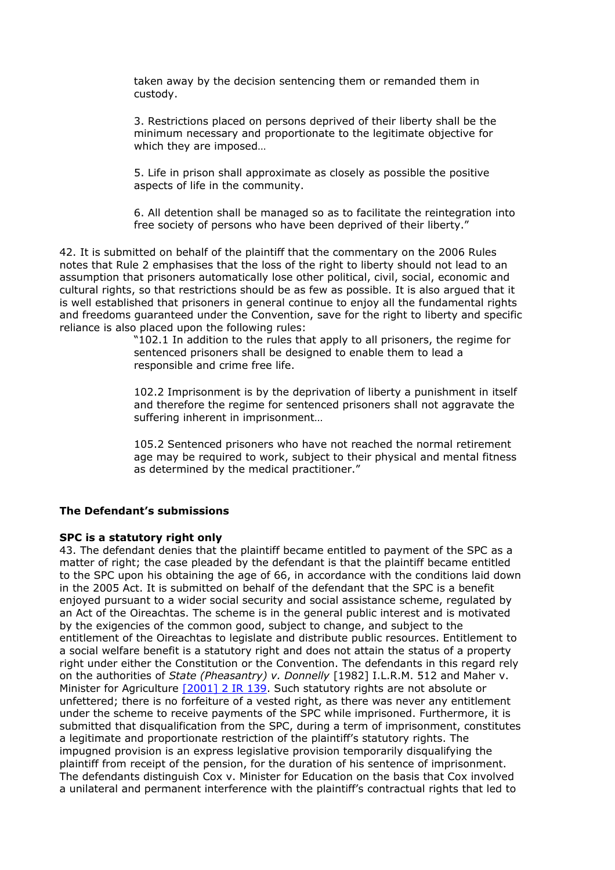taken away by the decision sentencing them or remanded them in custody.

3. Restrictions placed on persons deprived of their liberty shall be the minimum necessary and proportionate to the legitimate objective for which they are imposed…

5. Life in prison shall approximate as closely as possible the positive aspects of life in the community.

6. All detention shall be managed so as to facilitate the reintegration into free society of persons who have been deprived of their liberty."

42. It is submitted on behalf of the plaintiff that the commentary on the 2006 Rules notes that Rule 2 emphasises that the loss of the right to liberty should not lead to an assumption that prisoners automatically lose other political, civil, social, economic and cultural rights, so that restrictions should be as few as possible. It is also argued that it is well established that prisoners in general continue to enjoy all the fundamental rights and freedoms guaranteed under the Convention, save for the right to liberty and specific reliance is also placed upon the following rules:

> "102.1 In addition to the rules that apply to all prisoners, the regime for sentenced prisoners shall be designed to enable them to lead a responsible and crime free life.

102.2 Imprisonment is by the deprivation of liberty a punishment in itself and therefore the regime for sentenced prisoners shall not aggravate the suffering inherent in imprisonment…

105.2 Sentenced prisoners who have not reached the normal retirement age may be required to work, subject to their physical and mental fitness as determined by the medical practitioner."

## **The Defendant's submissions**

## **SPC is a statutory right only**

43. The defendant denies that the plaintiff became entitled to payment of the SPC as a matter of right; the case pleaded by the defendant is that the plaintiff became entitled to the SPC upon his obtaining the age of 66, in accordance with the conditions laid down in the 2005 Act. It is submitted on behalf of the defendant that the SPC is a benefit enjoyed pursuant to a wider social security and social assistance scheme, regulated by an Act of the Oireachtas. The scheme is in the general public interest and is motivated by the exigencies of the common good, subject to change, and subject to the entitlement of the Oireachtas to legislate and distribute public resources. Entitlement to a social welfare benefit is a statutory right and does not attain the status of a property right under either the Constitution or the Convention. The defendants in this regard rely on the authorities of *State (Pheasantry) v. Donnelly* [1982] I.L.R.M. 512 and Maher v. Minister for Agriculture [\[2001\] 2 IR 139.](http://www.bailii.org/cgi-bin/redirect.cgi?path=/ie/cases/IESC/2001/32.html) Such statutory rights are not absolute or unfettered; there is no forfeiture of a vested right, as there was never any entitlement under the scheme to receive payments of the SPC while imprisoned. Furthermore, it is submitted that disqualification from the SPC, during a term of imprisonment, constitutes a legitimate and proportionate restriction of the plaintiff's statutory rights. The impugned provision is an express legislative provision temporarily disqualifying the plaintiff from receipt of the pension, for the duration of his sentence of imprisonment. The defendants distinguish Cox v. Minister for Education on the basis that Cox involved a unilateral and permanent interference with the plaintiff's contractual rights that led to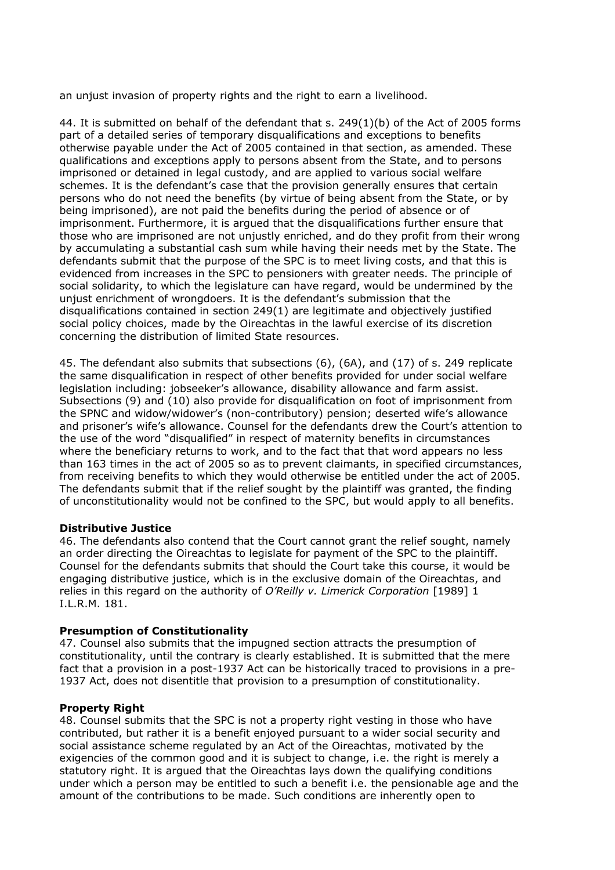an unjust invasion of property rights and the right to earn a livelihood.

44. It is submitted on behalf of the defendant that s. 249(1)(b) of the Act of 2005 forms part of a detailed series of temporary disqualifications and exceptions to benefits otherwise payable under the Act of 2005 contained in that section, as amended. These qualifications and exceptions apply to persons absent from the State, and to persons imprisoned or detained in legal custody, and are applied to various social welfare schemes. It is the defendant's case that the provision generally ensures that certain persons who do not need the benefits (by virtue of being absent from the State, or by being imprisoned), are not paid the benefits during the period of absence or of imprisonment. Furthermore, it is argued that the disqualifications further ensure that those who are imprisoned are not unjustly enriched, and do they profit from their wrong by accumulating a substantial cash sum while having their needs met by the State. The defendants submit that the purpose of the SPC is to meet living costs, and that this is evidenced from increases in the SPC to pensioners with greater needs. The principle of social solidarity, to which the legislature can have regard, would be undermined by the unjust enrichment of wrongdoers. It is the defendant's submission that the disqualifications contained in section  $249(1)$  are legitimate and objectively justified social policy choices, made by the Oireachtas in the lawful exercise of its discretion concerning the distribution of limited State resources.

45. The defendant also submits that subsections (6), (6A), and (17) of s. 249 replicate the same disqualification in respect of other benefits provided for under social welfare legislation including: jobseeker's allowance, disability allowance and farm assist. Subsections (9) and (10) also provide for disqualification on foot of imprisonment from the SPNC and widow/widower's (non-contributory) pension; deserted wife's allowance and prisoner's wife's allowance. Counsel for the defendants drew the Court's attention to the use of the word "disqualified" in respect of maternity benefits in circumstances where the beneficiary returns to work, and to the fact that that word appears no less than 163 times in the act of 2005 so as to prevent claimants, in specified circumstances, from receiving benefits to which they would otherwise be entitled under the act of 2005. The defendants submit that if the relief sought by the plaintiff was granted, the finding of unconstitutionality would not be confined to the SPC, but would apply to all benefits.

## **Distributive Justice**

46. The defendants also contend that the Court cannot grant the relief sought, namely an order directing the Oireachtas to legislate for payment of the SPC to the plaintiff. Counsel for the defendants submits that should the Court take this course, it would be engaging distributive justice, which is in the exclusive domain of the Oireachtas, and relies in this regard on the authority of *O'Reilly v. Limerick Corporation* [1989] 1 I.L.R.M. 181.

# **Presumption of Constitutionality**

47. Counsel also submits that the impugned section attracts the presumption of constitutionality, until the contrary is clearly established. It is submitted that the mere fact that a provision in a post-1937 Act can be historically traced to provisions in a pre-1937 Act, does not disentitle that provision to a presumption of constitutionality.

## **Property Right**

48. Counsel submits that the SPC is not a property right vesting in those who have contributed, but rather it is a benefit enjoyed pursuant to a wider social security and social assistance scheme regulated by an Act of the Oireachtas, motivated by the exigencies of the common good and it is subject to change, i.e. the right is merely a statutory right. It is argued that the Oireachtas lays down the qualifying conditions under which a person may be entitled to such a benefit i.e. the pensionable age and the amount of the contributions to be made. Such conditions are inherently open to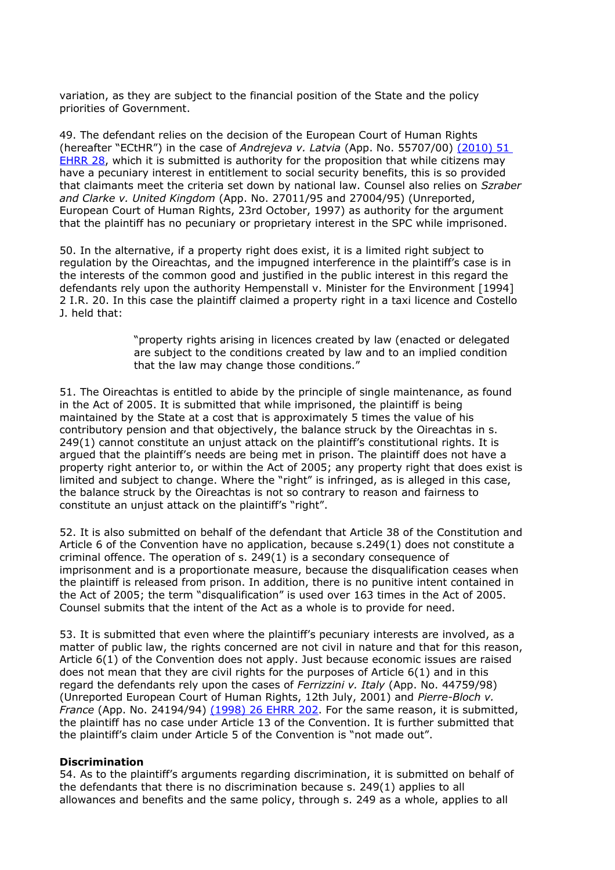variation, as they are subject to the financial position of the State and the policy priorities of Government.

49. The defendant relies on the decision of the European Court of Human Rights (hereafter "ECtHR") in the case of *Andrejeva v. Latvia* (App. No. 55707/00) [\(2010\) 51](http://www.bailii.org/cgi-bin/redirect.cgi?path=/eu/cases/ECHR/2009/297.html)  [EHRR 28,](http://www.bailii.org/cgi-bin/redirect.cgi?path=/eu/cases/ECHR/2009/297.html) which it is submitted is authority for the proposition that while citizens may have a pecuniary interest in entitlement to social security benefits, this is so provided that claimants meet the criteria set down by national law. Counsel also relies on *Szraber and Clarke v. United Kingdom* (App. No. 27011/95 and 27004/95) (Unreported, European Court of Human Rights, 23rd October, 1997) as authority for the argument that the plaintiff has no pecuniary or proprietary interest in the SPC while imprisoned.

50. In the alternative, if a property right does exist, it is a limited right subject to regulation by the Oireachtas, and the impugned interference in the plaintiff's case is in the interests of the common good and justified in the public interest in this regard the defendants rely upon the authority Hempenstall v. Minister for the Environment [1994] 2 I.R. 20. In this case the plaintiff claimed a property right in a taxi licence and Costello J. held that:

> "property rights arising in licences created by law (enacted or delegated are subject to the conditions created by law and to an implied condition that the law may change those conditions."

51. The Oireachtas is entitled to abide by the principle of single maintenance, as found in the Act of 2005. It is submitted that while imprisoned, the plaintiff is being maintained by the State at a cost that is approximately 5 times the value of his contributory pension and that objectively, the balance struck by the Oireachtas in s. 249(1) cannot constitute an unjust attack on the plaintiff's constitutional rights. It is argued that the plaintiff's needs are being met in prison. The plaintiff does not have a property right anterior to, or within the Act of 2005; any property right that does exist is limited and subject to change. Where the "right" is infringed, as is alleged in this case, the balance struck by the Oireachtas is not so contrary to reason and fairness to constitute an unjust attack on the plaintiff's "right".

52. It is also submitted on behalf of the defendant that Article 38 of the Constitution and Article 6 of the Convention have no application, because s.249(1) does not constitute a criminal offence. The operation of s. 249(1) is a secondary consequence of imprisonment and is a proportionate measure, because the disqualification ceases when the plaintiff is released from prison. In addition, there is no punitive intent contained in the Act of 2005; the term "disqualification" is used over 163 times in the Act of 2005. Counsel submits that the intent of the Act as a whole is to provide for need.

53. It is submitted that even where the plaintiff's pecuniary interests are involved, as a matter of public law, the rights concerned are not civil in nature and that for this reason, Article 6(1) of the Convention does not apply. Just because economic issues are raised does not mean that they are civil rights for the purposes of Article 6(1) and in this regard the defendants rely upon the cases of *Ferrizzini v. Italy* (App. No. 44759/98) (Unreported European Court of Human Rights, 12th July, 2001) and *Pierre-Bloch v. France* (App. No. 24194/94) [\(1998\) 26 EHRR 202.](http://www.bailii.org/cgi-bin/redirect.cgi?path=/eu/cases/ECHR/1997/84.html) For the same reason, it is submitted, the plaintiff has no case under Article 13 of the Convention. It is further submitted that the plaintiff's claim under Article 5 of the Convention is "not made out".

## **Discrimination**

54. As to the plaintiff's arguments regarding discrimination, it is submitted on behalf of the defendants that there is no discrimination because s. 249(1) applies to all allowances and benefits and the same policy, through s. 249 as a whole, applies to all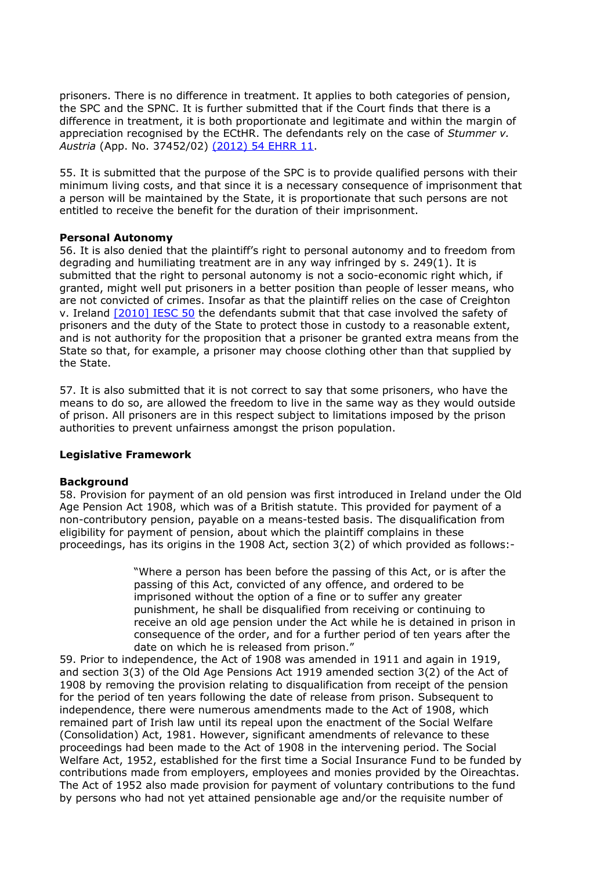prisoners. There is no difference in treatment. It applies to both categories of pension, the SPC and the SPNC. It is further submitted that if the Court finds that there is a difference in treatment, it is both proportionate and legitimate and within the margin of appreciation recognised by the ECtHR. The defendants rely on the case of *Stummer v. Austria* (App. No. 37452/02) [\(2012\) 54 EHRR 11.](http://www.bailii.org/cgi-bin/redirect.cgi?path=/eu/cases/ECHR/2011/1096.html)

55. It is submitted that the purpose of the SPC is to provide qualified persons with their minimum living costs, and that since it is a necessary consequence of imprisonment that a person will be maintained by the State, it is proportionate that such persons are not entitled to receive the benefit for the duration of their imprisonment.

## **Personal Autonomy**

56. It is also denied that the plaintiff's right to personal autonomy and to freedom from degrading and humiliating treatment are in any way infringed by s. 249(1). It is submitted that the right to personal autonomy is not a socio-economic right which, if granted, might well put prisoners in a better position than people of lesser means, who are not convicted of crimes. Insofar as that the plaintiff relies on the case of Creighton v. Ireland [\[2010\] IESC 50](http://www.bailii.org/ie/cases/IESC/2010/S50.html) the defendants submit that that case involved the safety of prisoners and the duty of the State to protect those in custody to a reasonable extent, and is not authority for the proposition that a prisoner be granted extra means from the State so that, for example, a prisoner may choose clothing other than that supplied by the State.

57. It is also submitted that it is not correct to say that some prisoners, who have the means to do so, are allowed the freedom to live in the same way as they would outside of prison. All prisoners are in this respect subject to limitations imposed by the prison authorities to prevent unfairness amongst the prison population.

## **Legislative Framework**

## **Background**

58. Provision for payment of an old pension was first introduced in Ireland under the Old Age Pension Act 1908, which was of a British statute. This provided for payment of a non-contributory pension, payable on a means-tested basis. The disqualification from eligibility for payment of pension, about which the plaintiff complains in these proceedings, has its origins in the 1908 Act, section 3(2) of which provided as follows:-

> "Where a person has been before the passing of this Act, or is after the passing of this Act, convicted of any offence, and ordered to be imprisoned without the option of a fine or to suffer any greater punishment, he shall be disqualified from receiving or continuing to receive an old age pension under the Act while he is detained in prison in consequence of the order, and for a further period of ten years after the date on which he is released from prison."

59. Prior to independence, the Act of 1908 was amended in 1911 and again in 1919, and section 3(3) of the Old Age Pensions Act 1919 amended section 3(2) of the Act of 1908 by removing the provision relating to disqualification from receipt of the pension for the period of ten years following the date of release from prison. Subsequent to independence, there were numerous amendments made to the Act of 1908, which remained part of Irish law until its repeal upon the enactment of the Social Welfare (Consolidation) Act, 1981. However, significant amendments of relevance to these proceedings had been made to the Act of 1908 in the intervening period. The Social Welfare Act, 1952, established for the first time a Social Insurance Fund to be funded by contributions made from employers, employees and monies provided by the Oireachtas. The Act of 1952 also made provision for payment of voluntary contributions to the fund by persons who had not yet attained pensionable age and/or the requisite number of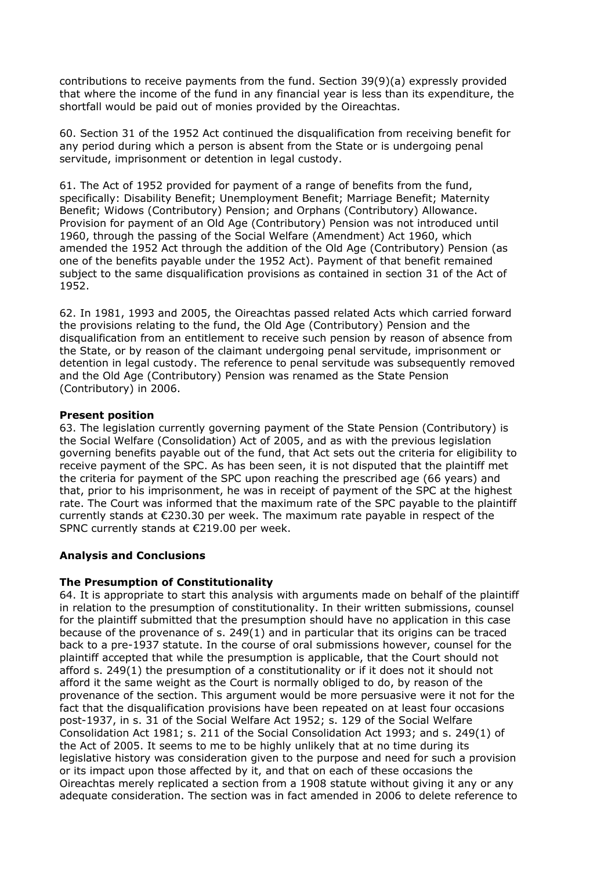contributions to receive payments from the fund. Section 39(9)(a) expressly provided that where the income of the fund in any financial year is less than its expenditure, the shortfall would be paid out of monies provided by the Oireachtas.

60. Section 31 of the 1952 Act continued the disqualification from receiving benefit for any period during which a person is absent from the State or is undergoing penal servitude, imprisonment or detention in legal custody.

61. The Act of 1952 provided for payment of a range of benefits from the fund, specifically: Disability Benefit; Unemployment Benefit; Marriage Benefit; Maternity Benefit; Widows (Contributory) Pension; and Orphans (Contributory) Allowance. Provision for payment of an Old Age (Contributory) Pension was not introduced until 1960, through the passing of the Social Welfare (Amendment) Act 1960, which amended the 1952 Act through the addition of the Old Age (Contributory) Pension (as one of the benefits payable under the 1952 Act). Payment of that benefit remained subject to the same disqualification provisions as contained in section 31 of the Act of 1952.

62. In 1981, 1993 and 2005, the Oireachtas passed related Acts which carried forward the provisions relating to the fund, the Old Age (Contributory) Pension and the disqualification from an entitlement to receive such pension by reason of absence from the State, or by reason of the claimant undergoing penal servitude, imprisonment or detention in legal custody. The reference to penal servitude was subsequently removed and the Old Age (Contributory) Pension was renamed as the State Pension (Contributory) in 2006.

## **Present position**

63. The legislation currently governing payment of the State Pension (Contributory) is the Social Welfare (Consolidation) Act of 2005, and as with the previous legislation governing benefits payable out of the fund, that Act sets out the criteria for eligibility to receive payment of the SPC. As has been seen, it is not disputed that the plaintiff met the criteria for payment of the SPC upon reaching the prescribed age (66 years) and that, prior to his imprisonment, he was in receipt of payment of the SPC at the highest rate. The Court was informed that the maximum rate of the SPC payable to the plaintiff currently stands at €230.30 per week. The maximum rate payable in respect of the SPNC currently stands at €219.00 per week.

# **Analysis and Conclusions**

# **The Presumption of Constitutionality**

64. It is appropriate to start this analysis with arguments made on behalf of the plaintiff in relation to the presumption of constitutionality. In their written submissions, counsel for the plaintiff submitted that the presumption should have no application in this case because of the provenance of s. 249(1) and in particular that its origins can be traced back to a pre-1937 statute. In the course of oral submissions however, counsel for the plaintiff accepted that while the presumption is applicable, that the Court should not afford s. 249(1) the presumption of a constitutionality or if it does not it should not afford it the same weight as the Court is normally obliged to do, by reason of the provenance of the section. This argument would be more persuasive were it not for the fact that the disqualification provisions have been repeated on at least four occasions post-1937, in s. 31 of the Social Welfare Act 1952; s. 129 of the Social Welfare Consolidation Act 1981; s. 211 of the Social Consolidation Act 1993; and s. 249(1) of the Act of 2005. It seems to me to be highly unlikely that at no time during its legislative history was consideration given to the purpose and need for such a provision or its impact upon those affected by it, and that on each of these occasions the Oireachtas merely replicated a section from a 1908 statute without giving it any or any adequate consideration. The section was in fact amended in 2006 to delete reference to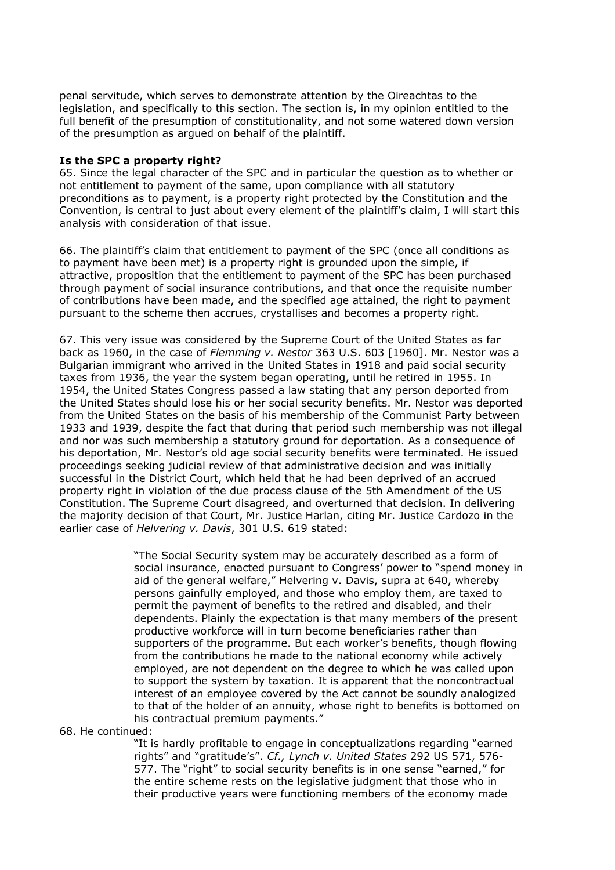penal servitude, which serves to demonstrate attention by the Oireachtas to the legislation, and specifically to this section. The section is, in my opinion entitled to the full benefit of the presumption of constitutionality, and not some watered down version of the presumption as argued on behalf of the plaintiff.

#### **Is the SPC a property right?**

65. Since the legal character of the SPC and in particular the question as to whether or not entitlement to payment of the same, upon compliance with all statutory preconditions as to payment, is a property right protected by the Constitution and the Convention, is central to just about every element of the plaintiff's claim, I will start this analysis with consideration of that issue.

66. The plaintiff's claim that entitlement to payment of the SPC (once all conditions as to payment have been met) is a property right is grounded upon the simple, if attractive, proposition that the entitlement to payment of the SPC has been purchased through payment of social insurance contributions, and that once the requisite number of contributions have been made, and the specified age attained, the right to payment pursuant to the scheme then accrues, crystallises and becomes a property right.

67. This very issue was considered by the Supreme Court of the United States as far back as 1960, in the case of *Flemming v. Nestor* 363 U.S. 603 [1960]. Mr. Nestor was a Bulgarian immigrant who arrived in the United States in 1918 and paid social security taxes from 1936, the year the system began operating, until he retired in 1955. In 1954, the United States Congress passed a law stating that any person deported from the United States should lose his or her social security benefits. Mr. Nestor was deported from the United States on the basis of his membership of the Communist Party between 1933 and 1939, despite the fact that during that period such membership was not illegal and nor was such membership a statutory ground for deportation. As a consequence of his deportation, Mr. Nestor's old age social security benefits were terminated. He issued proceedings seeking judicial review of that administrative decision and was initially successful in the District Court, which held that he had been deprived of an accrued property right in violation of the due process clause of the 5th Amendment of the US Constitution. The Supreme Court disagreed, and overturned that decision. In delivering the majority decision of that Court, Mr. Justice Harlan, citing Mr. Justice Cardozo in the earlier case of *Helvering v. Davis*, 301 U.S. 619 stated:

> "The Social Security system may be accurately described as a form of social insurance, enacted pursuant to Congress' power to "spend money in aid of the general welfare," Helvering v. Davis, supra at 640, whereby persons gainfully employed, and those who employ them, are taxed to permit the payment of benefits to the retired and disabled, and their dependents. Plainly the expectation is that many members of the present productive workforce will in turn become beneficiaries rather than supporters of the programme. But each worker's benefits, though flowing from the contributions he made to the national economy while actively employed, are not dependent on the degree to which he was called upon to support the system by taxation. It is apparent that the noncontractual interest of an employee covered by the Act cannot be soundly analogized to that of the holder of an annuity, whose right to benefits is bottomed on his contractual premium payments."

68. He continued:

"It is hardly profitable to engage in conceptualizations regarding "earned rights" and "gratitude's". *Cf., Lynch v. United States* 292 US 571, 576- 577. The "right" to social security benefits is in one sense "earned," for the entire scheme rests on the legislative judgment that those who in their productive years were functioning members of the economy made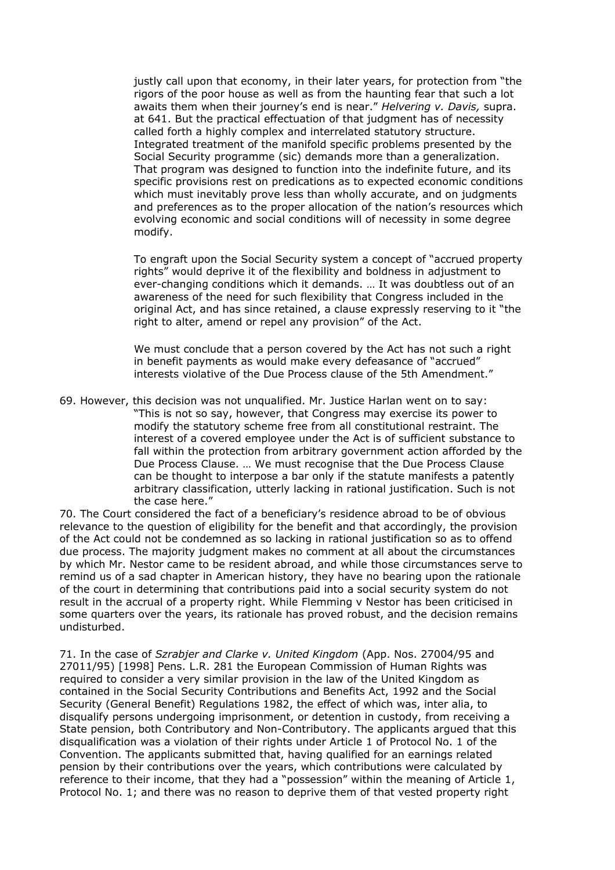justly call upon that economy, in their later years, for protection from "the rigors of the poor house as well as from the haunting fear that such a lot awaits them when their journey's end is near." *Helvering v. Davis,* supra. at 641. But the practical effectuation of that judgment has of necessity called forth a highly complex and interrelated statutory structure. Integrated treatment of the manifold specific problems presented by the Social Security programme (sic) demands more than a generalization. That program was designed to function into the indefinite future, and its specific provisions rest on predications as to expected economic conditions which must inevitably prove less than wholly accurate, and on judgments and preferences as to the proper allocation of the nation's resources which evolving economic and social conditions will of necessity in some degree modify.

To engraft upon the Social Security system a concept of "accrued property rights" would deprive it of the flexibility and boldness in adjustment to ever-changing conditions which it demands. … It was doubtless out of an awareness of the need for such flexibility that Congress included in the original Act, and has since retained, a clause expressly reserving to it "the right to alter, amend or repel any provision" of the Act.

We must conclude that a person covered by the Act has not such a right in benefit payments as would make every defeasance of "accrued" interests violative of the Due Process clause of the 5th Amendment."

69. However, this decision was not unqualified. Mr. Justice Harlan went on to say: "This is not so say, however, that Congress may exercise its power to modify the statutory scheme free from all constitutional restraint. The interest of a covered employee under the Act is of sufficient substance to fall within the protection from arbitrary government action afforded by the Due Process Clause. … We must recognise that the Due Process Clause can be thought to interpose a bar only if the statute manifests a patently arbitrary classification, utterly lacking in rational justification. Such is not the case here."

70. The Court considered the fact of a beneficiary's residence abroad to be of obvious relevance to the question of eligibility for the benefit and that accordingly, the provision of the Act could not be condemned as so lacking in rational justification so as to offend due process. The majority judgment makes no comment at all about the circumstances by which Mr. Nestor came to be resident abroad, and while those circumstances serve to remind us of a sad chapter in American history, they have no bearing upon the rationale of the court in determining that contributions paid into a social security system do not result in the accrual of a property right. While Flemming v Nestor has been criticised in some quarters over the years, its rationale has proved robust, and the decision remains undisturbed.

71. In the case of *Szrabjer and Clarke v. United Kingdom* (App. Nos. 27004/95 and 27011/95) [1998] Pens. L.R. 281 the European Commission of Human Rights was required to consider a very similar provision in the law of the United Kingdom as contained in the Social Security Contributions and Benefits Act, 1992 and the Social Security (General Benefit) Regulations 1982, the effect of which was, inter alia, to disqualify persons undergoing imprisonment, or detention in custody, from receiving a State pension, both Contributory and Non-Contributory. The applicants argued that this disqualification was a violation of their rights under Article 1 of Protocol No. 1 of the Convention. The applicants submitted that, having qualified for an earnings related pension by their contributions over the years, which contributions were calculated by reference to their income, that they had a "possession" within the meaning of Article 1, Protocol No. 1; and there was no reason to deprive them of that vested property right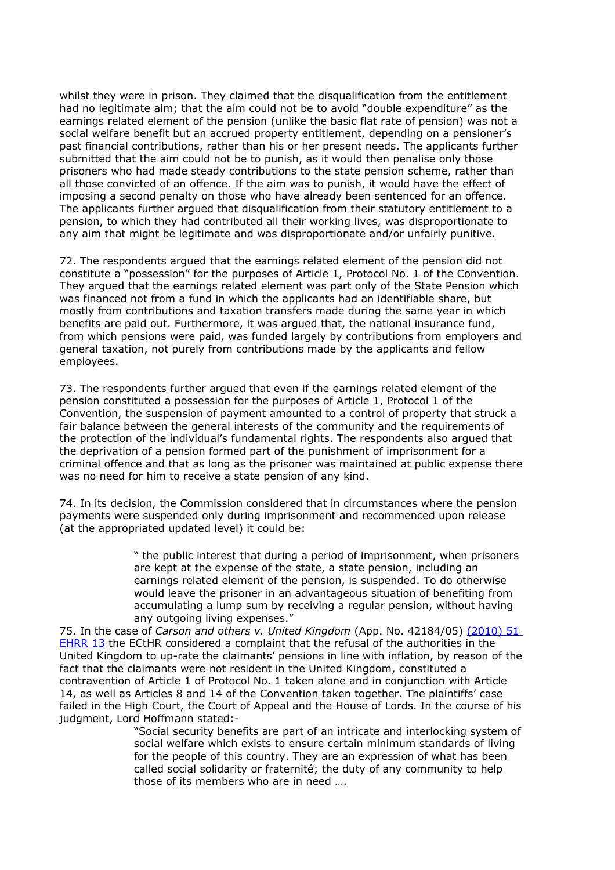whilst they were in prison. They claimed that the disqualification from the entitlement had no legitimate aim; that the aim could not be to avoid "double expenditure" as the earnings related element of the pension (unlike the basic flat rate of pension) was not a social welfare benefit but an accrued property entitlement, depending on a pensioner's past financial contributions, rather than his or her present needs. The applicants further submitted that the aim could not be to punish, as it would then penalise only those prisoners who had made steady contributions to the state pension scheme, rather than all those convicted of an offence. If the aim was to punish, it would have the effect of imposing a second penalty on those who have already been sentenced for an offence. The applicants further argued that disqualification from their statutory entitlement to a pension, to which they had contributed all their working lives, was disproportionate to any aim that might be legitimate and was disproportionate and/or unfairly punitive.

72. The respondents argued that the earnings related element of the pension did not constitute a "possession" for the purposes of Article 1, Protocol No. 1 of the Convention. They argued that the earnings related element was part only of the State Pension which was financed not from a fund in which the applicants had an identifiable share, but mostly from contributions and taxation transfers made during the same year in which benefits are paid out. Furthermore, it was argued that, the national insurance fund, from which pensions were paid, was funded largely by contributions from employers and general taxation, not purely from contributions made by the applicants and fellow employees.

73. The respondents further argued that even if the earnings related element of the pension constituted a possession for the purposes of Article 1, Protocol 1 of the Convention, the suspension of payment amounted to a control of property that struck a fair balance between the general interests of the community and the requirements of the protection of the individual's fundamental rights. The respondents also argued that the deprivation of a pension formed part of the punishment of imprisonment for a criminal offence and that as long as the prisoner was maintained at public expense there was no need for him to receive a state pension of any kind.

74. In its decision, the Commission considered that in circumstances where the pension payments were suspended only during imprisonment and recommenced upon release (at the appropriated updated level) it could be:

> " the public interest that during a period of imprisonment, when prisoners are kept at the expense of the state, a state pension, including an earnings related element of the pension, is suspended. To do otherwise would leave the prisoner in an advantageous situation of benefiting from accumulating a lump sum by receiving a regular pension, without having any outgoing living expenses."

75. In the case of *Carson and others v. United Kingdom* (App. No. 42184/05) [\(2010\) 51](http://www.bailii.org/cgi-bin/redirect.cgi?path=/eu/cases/ECHR/2010/338.html)  [EHRR 13](http://www.bailii.org/cgi-bin/redirect.cgi?path=/eu/cases/ECHR/2010/338.html) the ECtHR considered a complaint that the refusal of the authorities in the United Kingdom to up-rate the claimants' pensions in line with inflation, by reason of the fact that the claimants were not resident in the United Kingdom, constituted a contravention of Article 1 of Protocol No. 1 taken alone and in conjunction with Article 14, as well as Articles 8 and 14 of the Convention taken together. The plaintiffs' case failed in the High Court, the Court of Appeal and the House of Lords. In the course of his judgment, Lord Hoffmann stated:-

"Social security benefits are part of an intricate and interlocking system of social welfare which exists to ensure certain minimum standards of living for the people of this country. They are an expression of what has been called social solidarity or fraternité; the duty of any community to help those of its members who are in need ….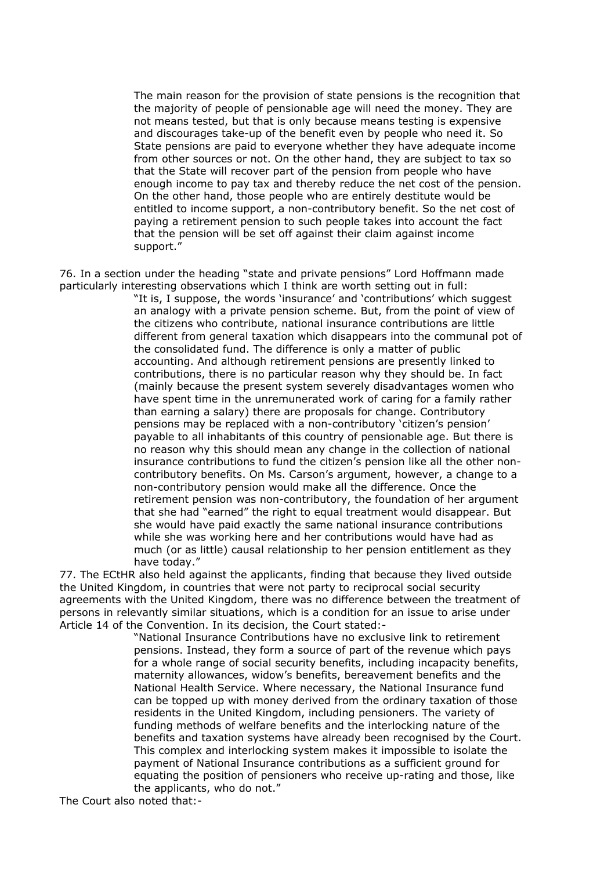The main reason for the provision of state pensions is the recognition that the majority of people of pensionable age will need the money. They are not means tested, but that is only because means testing is expensive and discourages take-up of the benefit even by people who need it. So State pensions are paid to everyone whether they have adequate income from other sources or not. On the other hand, they are subject to tax so that the State will recover part of the pension from people who have enough income to pay tax and thereby reduce the net cost of the pension. On the other hand, those people who are entirely destitute would be entitled to income support, a non-contributory benefit. So the net cost of paying a retirement pension to such people takes into account the fact that the pension will be set off against their claim against income support."

76. In a section under the heading "state and private pensions" Lord Hoffmann made particularly interesting observations which I think are worth setting out in full:

> "It is, I suppose, the words 'insurance' and 'contributions' which suggest an analogy with a private pension scheme. But, from the point of view of the citizens who contribute, national insurance contributions are little different from general taxation which disappears into the communal pot of the consolidated fund. The difference is only a matter of public accounting. And although retirement pensions are presently linked to contributions, there is no particular reason why they should be. In fact (mainly because the present system severely disadvantages women who have spent time in the unremunerated work of caring for a family rather than earning a salary) there are proposals for change. Contributory pensions may be replaced with a non-contributory 'citizen's pension' payable to all inhabitants of this country of pensionable age. But there is no reason why this should mean any change in the collection of national insurance contributions to fund the citizen's pension like all the other noncontributory benefits. On Ms. Carson's argument, however, a change to a non-contributory pension would make all the difference. Once the retirement pension was non-contributory, the foundation of her argument that she had "earned" the right to equal treatment would disappear. But she would have paid exactly the same national insurance contributions while she was working here and her contributions would have had as much (or as little) causal relationship to her pension entitlement as they have today."

77. The ECtHR also held against the applicants, finding that because they lived outside the United Kingdom, in countries that were not party to reciprocal social security agreements with the United Kingdom, there was no difference between the treatment of persons in relevantly similar situations, which is a condition for an issue to arise under Article 14 of the Convention. In its decision, the Court stated:-

> "National Insurance Contributions have no exclusive link to retirement pensions. Instead, they form a source of part of the revenue which pays for a whole range of social security benefits, including incapacity benefits, maternity allowances, widow's benefits, bereavement benefits and the National Health Service. Where necessary, the National Insurance fund can be topped up with money derived from the ordinary taxation of those residents in the United Kingdom, including pensioners. The variety of funding methods of welfare benefits and the interlocking nature of the benefits and taxation systems have already been recognised by the Court. This complex and interlocking system makes it impossible to isolate the payment of National Insurance contributions as a sufficient ground for equating the position of pensioners who receive up-rating and those, like the applicants, who do not."

The Court also noted that:-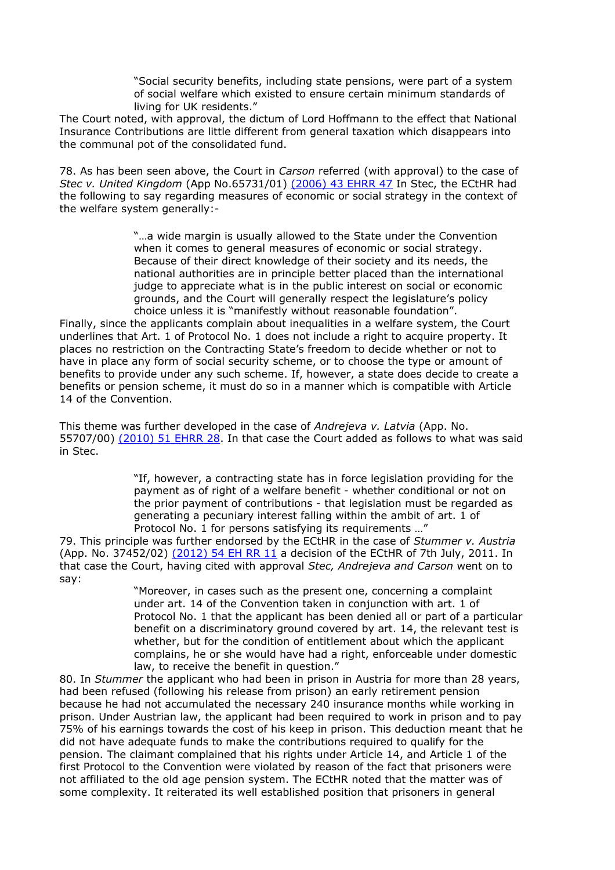"Social security benefits, including state pensions, were part of a system of social welfare which existed to ensure certain minimum standards of living for UK residents."

The Court noted, with approval, the dictum of Lord Hoffmann to the effect that National Insurance Contributions are little different from general taxation which disappears into the communal pot of the consolidated fund.

78. As has been seen above, the Court in *Carson* referred (with approval) to the case of *Stec v. United Kingdom* (App No.65731/01) [\(2006\) 43 EHRR 47](http://www.bailii.org/cgi-bin/redirect.cgi?path=/eu/cases/ECHR/2006/393.html) In Stec, the ECtHR had the following to say regarding measures of economic or social strategy in the context of the welfare system generally:-

> "…a wide margin is usually allowed to the State under the Convention when it comes to general measures of economic or social strategy. Because of their direct knowledge of their society and its needs, the national authorities are in principle better placed than the international judge to appreciate what is in the public interest on social or economic grounds, and the Court will generally respect the legislature's policy choice unless it is "manifestly without reasonable foundation".

Finally, since the applicants complain about inequalities in a welfare system, the Court underlines that Art. 1 of Protocol No. 1 does not include a right to acquire property. It places no restriction on the Contracting State's freedom to decide whether or not to have in place any form of social security scheme, or to choose the type or amount of benefits to provide under any such scheme. If, however, a state does decide to create a benefits or pension scheme, it must do so in a manner which is compatible with Article 14 of the Convention.

This theme was further developed in the case of *Andrejeva v. Latvia* (App. No. 55707/00) [\(2010\) 51 EHRR 28.](http://www.bailii.org/cgi-bin/redirect.cgi?path=/eu/cases/ECHR/2009/297.html) In that case the Court added as follows to what was said in Stec.

> "If, however, a contracting state has in force legislation providing for the payment as of right of a welfare benefit - whether conditional or not on the prior payment of contributions - that legislation must be regarded as generating a pecuniary interest falling within the ambit of art. 1 of Protocol No. 1 for persons satisfying its requirements …"

79. This principle was further endorsed by the ECtHR in the case of *Stummer v. Austria* (App. No. 37452/02) [\(2012\) 54 EH RR 11](http://www.bailii.org/cgi-bin/redirect.cgi?path=/eu/cases/ECHR/2011/1096.html) a decision of the ECtHR of 7th July, 2011. In that case the Court, having cited with approval *Stec, Andrejeva and Carson* went on to say:

> "Moreover, in cases such as the present one, concerning a complaint under art. 14 of the Convention taken in conjunction with art. 1 of Protocol No. 1 that the applicant has been denied all or part of a particular benefit on a discriminatory ground covered by art. 14, the relevant test is whether, but for the condition of entitlement about which the applicant complains, he or she would have had a right, enforceable under domestic law, to receive the benefit in question."

80. In *Stummer* the applicant who had been in prison in Austria for more than 28 years, had been refused (following his release from prison) an early retirement pension because he had not accumulated the necessary 240 insurance months while working in prison. Under Austrian law, the applicant had been required to work in prison and to pay 75% of his earnings towards the cost of his keep in prison. This deduction meant that he did not have adequate funds to make the contributions required to qualify for the pension. The claimant complained that his rights under Article 14, and Article 1 of the first Protocol to the Convention were violated by reason of the fact that prisoners were not affiliated to the old age pension system. The ECtHR noted that the matter was of some complexity. It reiterated its well established position that prisoners in general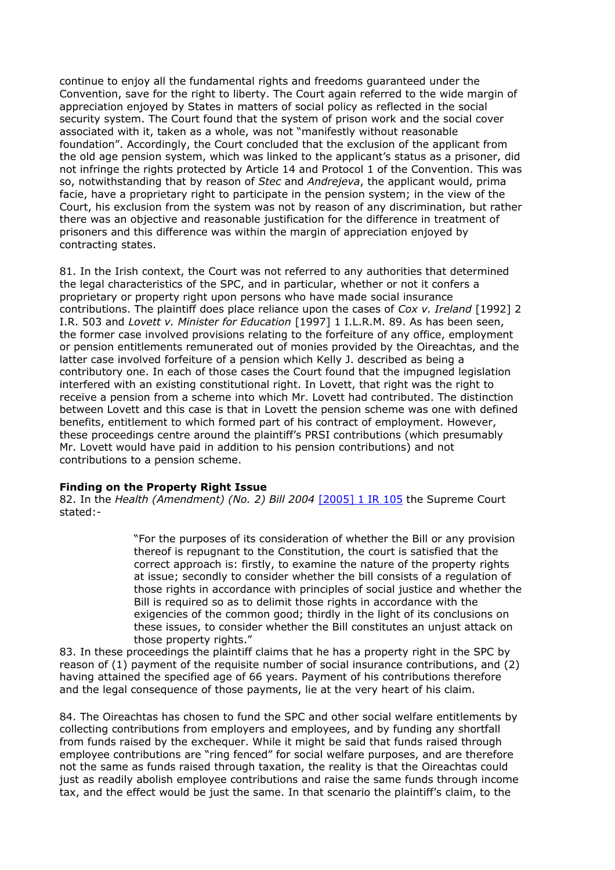continue to enjoy all the fundamental rights and freedoms guaranteed under the Convention, save for the right to liberty. The Court again referred to the wide margin of appreciation enjoyed by States in matters of social policy as reflected in the social security system. The Court found that the system of prison work and the social cover associated with it, taken as a whole, was not "manifestly without reasonable foundation". Accordingly, the Court concluded that the exclusion of the applicant from the old age pension system, which was linked to the applicant's status as a prisoner, did not infringe the rights protected by Article 14 and Protocol 1 of the Convention. This was so, notwithstanding that by reason of *Stec* and *Andrejeva*, the applicant would, prima facie, have a proprietary right to participate in the pension system; in the view of the Court, his exclusion from the system was not by reason of any discrimination, but rather there was an objective and reasonable justification for the difference in treatment of prisoners and this difference was within the margin of appreciation enjoyed by contracting states.

81. In the Irish context, the Court was not referred to any authorities that determined the legal characteristics of the SPC, and in particular, whether or not it confers a proprietary or property right upon persons who have made social insurance contributions. The plaintiff does place reliance upon the cases of *Cox v. Ireland* [1992] 2 I.R. 503 and *Lovett v. Minister for Education* [1997] 1 I.L.R.M. 89. As has been seen, the former case involved provisions relating to the forfeiture of any office, employment or pension entitlements remunerated out of monies provided by the Oireachtas, and the latter case involved forfeiture of a pension which Kelly J. described as being a contributory one. In each of those cases the Court found that the impugned legislation interfered with an existing constitutional right. In Lovett, that right was the right to receive a pension from a scheme into which Mr. Lovett had contributed. The distinction between Lovett and this case is that in Lovett the pension scheme was one with defined benefits, entitlement to which formed part of his contract of employment. However, these proceedings centre around the plaintiff's PRSI contributions (which presumably Mr. Lovett would have paid in addition to his pension contributions) and not contributions to a pension scheme.

## **Finding on the Property Right Issue**

82. In the *Health (Amendment) (No. 2) Bill 2004* [\[2005\] 1 IR 105](http://www.bailii.org/cgi-bin/redirect.cgi?path=/ie/cases/IESC/2005/7.html) the Supreme Court stated:-

> "For the purposes of its consideration of whether the Bill or any provision thereof is repugnant to the Constitution, the court is satisfied that the correct approach is: firstly, to examine the nature of the property rights at issue; secondly to consider whether the bill consists of a regulation of those rights in accordance with principles of social justice and whether the Bill is required so as to delimit those rights in accordance with the exigencies of the common good; thirdly in the light of its conclusions on these issues, to consider whether the Bill constitutes an unjust attack on those property rights."

83. In these proceedings the plaintiff claims that he has a property right in the SPC by reason of (1) payment of the requisite number of social insurance contributions, and (2) having attained the specified age of 66 years. Payment of his contributions therefore and the legal consequence of those payments, lie at the very heart of his claim.

84. The Oireachtas has chosen to fund the SPC and other social welfare entitlements by collecting contributions from employers and employees, and by funding any shortfall from funds raised by the exchequer. While it might be said that funds raised through employee contributions are "ring fenced" for social welfare purposes, and are therefore not the same as funds raised through taxation, the reality is that the Oireachtas could just as readily abolish employee contributions and raise the same funds through income tax, and the effect would be just the same. In that scenario the plaintiff's claim, to the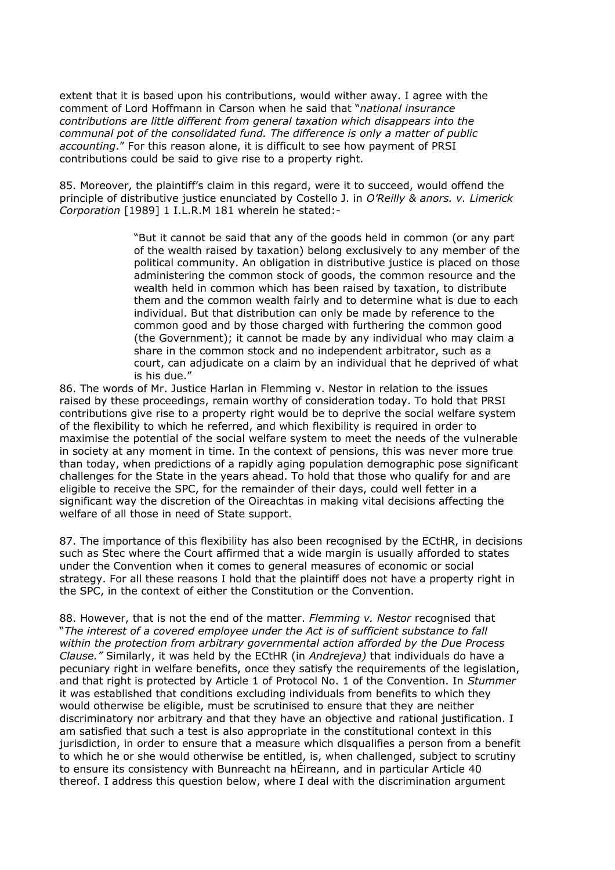extent that it is based upon his contributions, would wither away. I agree with the comment of Lord Hoffmann in Carson when he said that "*national insurance contributions are little different from general taxation which disappears into the communal pot of the consolidated fund. The difference is only a matter of public accounting*." For this reason alone, it is difficult to see how payment of PRSI contributions could be said to give rise to a property right.

85. Moreover, the plaintiff's claim in this regard, were it to succeed, would offend the principle of distributive justice enunciated by Costello J. in *O'Reilly & anors. v. Limerick Corporation* [1989] 1 I.L.R.M 181 wherein he stated:-

> "But it cannot be said that any of the goods held in common (or any part of the wealth raised by taxation) belong exclusively to any member of the political community. An obligation in distributive justice is placed on those administering the common stock of goods, the common resource and the wealth held in common which has been raised by taxation, to distribute them and the common wealth fairly and to determine what is due to each individual. But that distribution can only be made by reference to the common good and by those charged with furthering the common good (the Government); it cannot be made by any individual who may claim a share in the common stock and no independent arbitrator, such as a court, can adjudicate on a claim by an individual that he deprived of what is his due."

86. The words of Mr. Justice Harlan in Flemming v. Nestor in relation to the issues raised by these proceedings, remain worthy of consideration today. To hold that PRSI contributions give rise to a property right would be to deprive the social welfare system of the flexibility to which he referred, and which flexibility is required in order to maximise the potential of the social welfare system to meet the needs of the vulnerable in society at any moment in time. In the context of pensions, this was never more true than today, when predictions of a rapidly aging population demographic pose significant challenges for the State in the years ahead. To hold that those who qualify for and are eligible to receive the SPC, for the remainder of their days, could well fetter in a significant way the discretion of the Oireachtas in making vital decisions affecting the welfare of all those in need of State support.

87. The importance of this flexibility has also been recognised by the ECtHR, in decisions such as Stec where the Court affirmed that a wide margin is usually afforded to states under the Convention when it comes to general measures of economic or social strategy. For all these reasons I hold that the plaintiff does not have a property right in the SPC, in the context of either the Constitution or the Convention.

88. However, that is not the end of the matter. *Flemming v. Nestor* recognised that "*The interest of a covered employee under the Act is of sufficient substance to fall within the protection from arbitrary governmental action afforded by the Due Process Clause."* Similarly, it was held by the ECtHR (in *Andrejeva)* that individuals do have a pecuniary right in welfare benefits, once they satisfy the requirements of the legislation, and that right is protected by Article 1 of Protocol No. 1 of the Convention. In *Stummer* it was established that conditions excluding individuals from benefits to which they would otherwise be eligible, must be scrutinised to ensure that they are neither discriminatory nor arbitrary and that they have an objective and rational justification. I am satisfied that such a test is also appropriate in the constitutional context in this jurisdiction, in order to ensure that a measure which disqualifies a person from a benefit to which he or she would otherwise be entitled, is, when challenged, subject to scrutiny to ensure its consistency with Bunreacht na hÉireann, and in particular Article 40 thereof. I address this question below, where I deal with the discrimination argument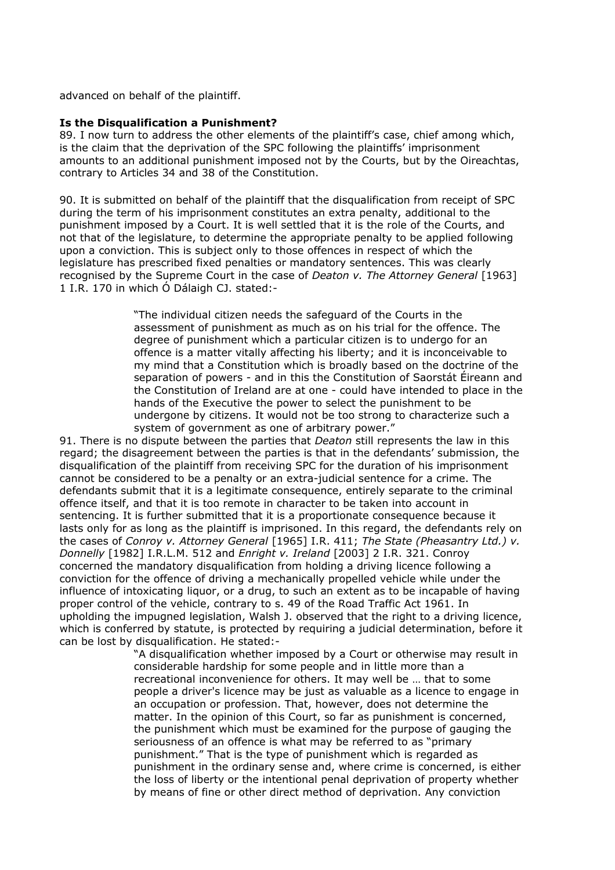advanced on behalf of the plaintiff.

#### **Is the Disqualification a Punishment?**

89. I now turn to address the other elements of the plaintiff's case, chief among which, is the claim that the deprivation of the SPC following the plaintiffs' imprisonment amounts to an additional punishment imposed not by the Courts, but by the Oireachtas, contrary to Articles 34 and 38 of the Constitution.

90. It is submitted on behalf of the plaintiff that the disqualification from receipt of SPC during the term of his imprisonment constitutes an extra penalty, additional to the punishment imposed by a Court. It is well settled that it is the role of the Courts, and not that of the legislature, to determine the appropriate penalty to be applied following upon a conviction. This is subject only to those offences in respect of which the legislature has prescribed fixed penalties or mandatory sentences. This was clearly recognised by the Supreme Court in the case of *Deaton v. The Attorney General* [1963] 1 I.R. 170 in which Ó Dálaigh CJ. stated:-

> "The individual citizen needs the safeguard of the Courts in the assessment of punishment as much as on his trial for the offence. The degree of punishment which a particular citizen is to undergo for an offence is a matter vitally affecting his liberty; and it is inconceivable to my mind that a Constitution which is broadly based on the doctrine of the separation of powers - and in this the Constitution of Saorstát Éireann and the Constitution of Ireland are at one - could have intended to place in the hands of the Executive the power to select the punishment to be undergone by citizens. It would not be too strong to characterize such a system of government as one of arbitrary power."

91. There is no dispute between the parties that *Deaton* still represents the law in this regard; the disagreement between the parties is that in the defendants' submission, the disqualification of the plaintiff from receiving SPC for the duration of his imprisonment cannot be considered to be a penalty or an extra-judicial sentence for a crime. The defendants submit that it is a legitimate consequence, entirely separate to the criminal offence itself, and that it is too remote in character to be taken into account in sentencing. It is further submitted that it is a proportionate consequence because it lasts only for as long as the plaintiff is imprisoned. In this regard, the defendants rely on the cases of *Conroy v. Attorney General* [1965] I.R. 411; *The State (Pheasantry Ltd.) v. Donnelly* [1982] I.R.L.M. 512 and *Enright v. Ireland* [2003] 2 I.R. 321. Conroy concerned the mandatory disqualification from holding a driving licence following a conviction for the offence of driving a mechanically propelled vehicle while under the influence of intoxicating liquor, or a drug, to such an extent as to be incapable of having proper control of the vehicle, contrary to s. 49 of the Road Traffic Act 1961. In upholding the impugned legislation, Walsh J. observed that the right to a driving licence, which is conferred by statute, is protected by requiring a judicial determination, before it can be lost by disqualification. He stated:-

> "A disqualification whether imposed by a Court or otherwise may result in considerable hardship for some people and in little more than a recreational inconvenience for others. It may well be … that to some people a driver's licence may be just as valuable as a licence to engage in an occupation or profession. That, however, does not determine the matter. In the opinion of this Court, so far as punishment is concerned, the punishment which must be examined for the purpose of gauging the seriousness of an offence is what may be referred to as "primary punishment." That is the type of punishment which is regarded as punishment in the ordinary sense and, where crime is concerned, is either the loss of liberty or the intentional penal deprivation of property whether by means of fine or other direct method of deprivation. Any conviction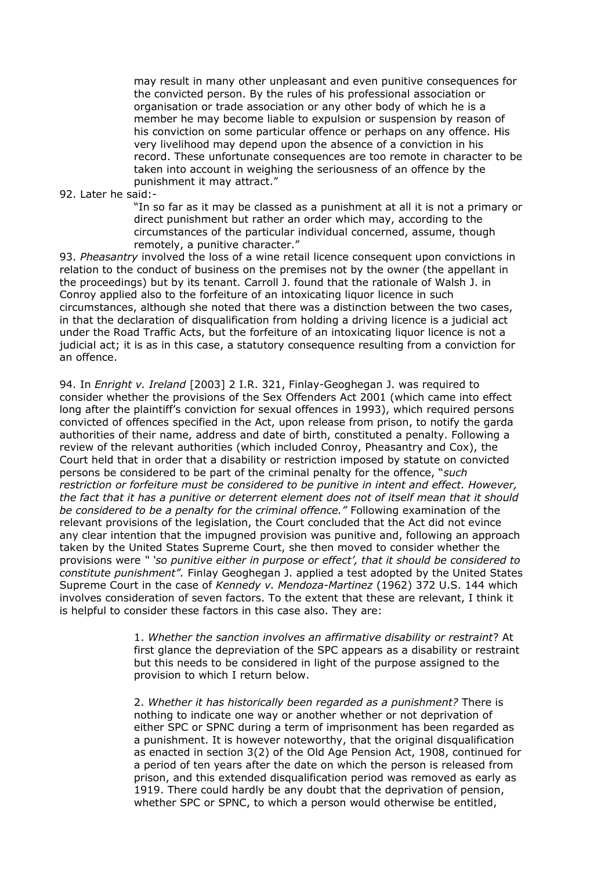may result in many other unpleasant and even punitive consequences for the convicted person. By the rules of his professional association or organisation or trade association or any other body of which he is a member he may become liable to expulsion or suspension by reason of his conviction on some particular offence or perhaps on any offence. His very livelihood may depend upon the absence of a conviction in his record. These unfortunate consequences are too remote in character to be taken into account in weighing the seriousness of an offence by the punishment it may attract."

92. Later he said:-

"In so far as it may be classed as a punishment at all it is not a primary or direct punishment but rather an order which may, according to the circumstances of the particular individual concerned, assume, though remotely, a punitive character."

93. *Pheasantry* involved the loss of a wine retail licence consequent upon convictions in relation to the conduct of business on the premises not by the owner (the appellant in the proceedings) but by its tenant. Carroll J. found that the rationale of Walsh J. in Conroy applied also to the forfeiture of an intoxicating liquor licence in such circumstances, although she noted that there was a distinction between the two cases, in that the declaration of disqualification from holding a driving licence is a judicial act under the Road Traffic Acts, but the forfeiture of an intoxicating liquor licence is not a judicial act; it is as in this case, a statutory consequence resulting from a conviction for an offence.

94. In *Enright v. Ireland* [2003] 2 I.R. 321, Finlay-Geoghegan J. was required to consider whether the provisions of the Sex Offenders Act 2001 (which came into effect long after the plaintiff's conviction for sexual offences in 1993), which required persons convicted of offences specified in the Act, upon release from prison, to notify the garda authorities of their name, address and date of birth, constituted a penalty. Following a review of the relevant authorities (which included Conroy, Pheasantry and Cox), the Court held that in order that a disability or restriction imposed by statute on convicted persons be considered to be part of the criminal penalty for the offence, "*such restriction or forfeiture must be considered to be punitive in intent and effect. However, the fact that it has a punitive or deterrent element does not of itself mean that it should be considered to be a penalty for the criminal offence."* Following examination of the relevant provisions of the legislation, the Court concluded that the Act did not evince any clear intention that the impugned provision was punitive and, following an approach taken by the United States Supreme Court, she then moved to consider whether the provisions were *" 'so punitive either in purpose or effect', that it should be considered to constitute punishment".* Finlay Geoghegan J. applied a test adopted by the United States Supreme Court in the case of *Kennedy v. Mendoza-Martinez* (1962) 372 U.S. 144 which involves consideration of seven factors. To the extent that these are relevant, I think it is helpful to consider these factors in this case also. They are:

> 1. *Whether the sanction involves an affirmative disability or restraint*? At first glance the depreviation of the SPC appears as a disability or restraint but this needs to be considered in light of the purpose assigned to the provision to which I return below.

> 2. *Whether it has historically been regarded as a punishment?* There is nothing to indicate one way or another whether or not deprivation of either SPC or SPNC during a term of imprisonment has been regarded as a punishment. It is however noteworthy, that the original disqualification as enacted in section 3(2) of the Old Age Pension Act, 1908, continued for a period of ten years after the date on which the person is released from prison, and this extended disqualification period was removed as early as 1919. There could hardly be any doubt that the deprivation of pension, whether SPC or SPNC, to which a person would otherwise be entitled,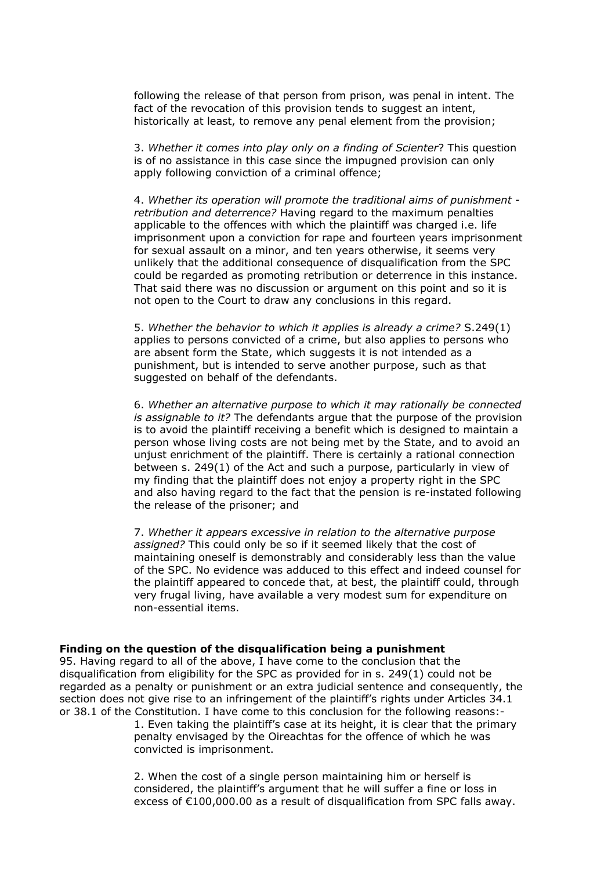following the release of that person from prison, was penal in intent. The fact of the revocation of this provision tends to suggest an intent, historically at least, to remove any penal element from the provision;

3. *Whether it comes into play only on a finding of Scienter*? This question is of no assistance in this case since the impugned provision can only apply following conviction of a criminal offence;

4. *Whether its operation will promote the traditional aims of punishment retribution and deterrence?* Having regard to the maximum penalties applicable to the offences with which the plaintiff was charged i.e. life imprisonment upon a conviction for rape and fourteen years imprisonment for sexual assault on a minor, and ten years otherwise, it seems very unlikely that the additional consequence of disqualification from the SPC could be regarded as promoting retribution or deterrence in this instance. That said there was no discussion or argument on this point and so it is not open to the Court to draw any conclusions in this regard.

5. *Whether the behavior to which it applies is already a crime?* S.249(1) applies to persons convicted of a crime, but also applies to persons who are absent form the State, which suggests it is not intended as a punishment, but is intended to serve another purpose, such as that suggested on behalf of the defendants.

6. *Whether an alternative purpose to which it may rationally be connected is assignable to it?* The defendants argue that the purpose of the provision is to avoid the plaintiff receiving a benefit which is designed to maintain a person whose living costs are not being met by the State, and to avoid an unjust enrichment of the plaintiff. There is certainly a rational connection between s. 249(1) of the Act and such a purpose, particularly in view of my finding that the plaintiff does not enjoy a property right in the SPC and also having regard to the fact that the pension is re-instated following the release of the prisoner; and

7. *Whether it appears excessive in relation to the alternative purpose assigned?* This could only be so if it seemed likely that the cost of maintaining oneself is demonstrably and considerably less than the value of the SPC. No evidence was adduced to this effect and indeed counsel for the plaintiff appeared to concede that, at best, the plaintiff could, through very frugal living, have available a very modest sum for expenditure on non-essential items.

#### **Finding on the question of the disqualification being a punishment**

95. Having regard to all of the above, I have come to the conclusion that the disqualification from eligibility for the SPC as provided for in s. 249(1) could not be regarded as a penalty or punishment or an extra judicial sentence and consequently, the section does not give rise to an infringement of the plaintiff's rights under Articles 34.1 or 38.1 of the Constitution. I have come to this conclusion for the following reasons:-

1. Even taking the plaintiff's case at its height, it is clear that the primary penalty envisaged by the Oireachtas for the offence of which he was convicted is imprisonment.

2. When the cost of a single person maintaining him or herself is considered, the plaintiff's argument that he will suffer a fine or loss in excess of €100,000.00 as a result of disqualification from SPC falls away.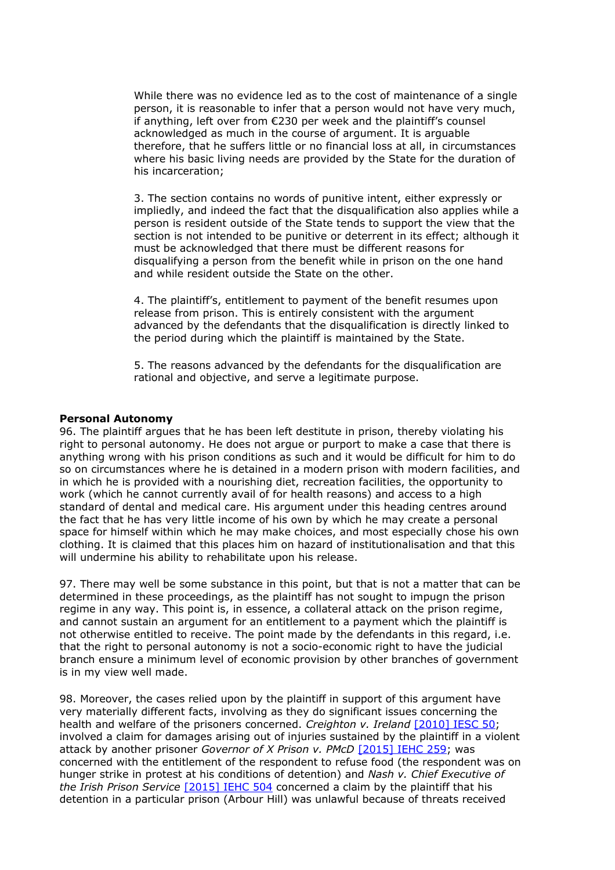While there was no evidence led as to the cost of maintenance of a single person, it is reasonable to infer that a person would not have very much, if anything, left over from €230 per week and the plaintiff's counsel acknowledged as much in the course of argument. It is arguable therefore, that he suffers little or no financial loss at all, in circumstances where his basic living needs are provided by the State for the duration of his incarceration;

3. The section contains no words of punitive intent, either expressly or impliedly, and indeed the fact that the disqualification also applies while a person is resident outside of the State tends to support the view that the section is not intended to be punitive or deterrent in its effect; although it must be acknowledged that there must be different reasons for disqualifying a person from the benefit while in prison on the one hand and while resident outside the State on the other.

4. The plaintiff's, entitlement to payment of the benefit resumes upon release from prison. This is entirely consistent with the argument advanced by the defendants that the disqualification is directly linked to the period during which the plaintiff is maintained by the State.

5. The reasons advanced by the defendants for the disqualification are rational and objective, and serve a legitimate purpose.

#### **Personal Autonomy**

96. The plaintiff argues that he has been left destitute in prison, thereby violating his right to personal autonomy. He does not argue or purport to make a case that there is anything wrong with his prison conditions as such and it would be difficult for him to do so on circumstances where he is detained in a modern prison with modern facilities, and in which he is provided with a nourishing diet, recreation facilities, the opportunity to work (which he cannot currently avail of for health reasons) and access to a high standard of dental and medical care. His argument under this heading centres around the fact that he has very little income of his own by which he may create a personal space for himself within which he may make choices, and most especially chose his own clothing. It is claimed that this places him on hazard of institutionalisation and that this will undermine his ability to rehabilitate upon his release.

97. There may well be some substance in this point, but that is not a matter that can be determined in these proceedings, as the plaintiff has not sought to impugn the prison regime in any way. This point is, in essence, a collateral attack on the prison regime, and cannot sustain an argument for an entitlement to a payment which the plaintiff is not otherwise entitled to receive. The point made by the defendants in this regard, i.e. that the right to personal autonomy is not a socio-economic right to have the judicial branch ensure a minimum level of economic provision by other branches of government is in my view well made.

98. Moreover, the cases relied upon by the plaintiff in support of this argument have very materially different facts, involving as they do significant issues concerning the health and welfare of the prisoners concerned. *Creighton v. Ireland* [\[2010\] IESC 50;](http://www.bailii.org/ie/cases/IESC/2010/S50.html) involved a claim for damages arising out of injuries sustained by the plaintiff in a violent attack by another prisoner *Governor of X Prison v. PMcD* [\[2015\] IEHC 259;](http://www.bailii.org/ie/cases/IEHC/2015/H259.html) was concerned with the entitlement of the respondent to refuse food (the respondent was on hunger strike in protest at his conditions of detention) and *Nash v. Chief Executive of the Irish Prison Service* [\[2015\] IEHC 504](http://www.bailii.org/ie/cases/IEHC/2015/H504.html) concerned a claim by the plaintiff that his detention in a particular prison (Arbour Hill) was unlawful because of threats received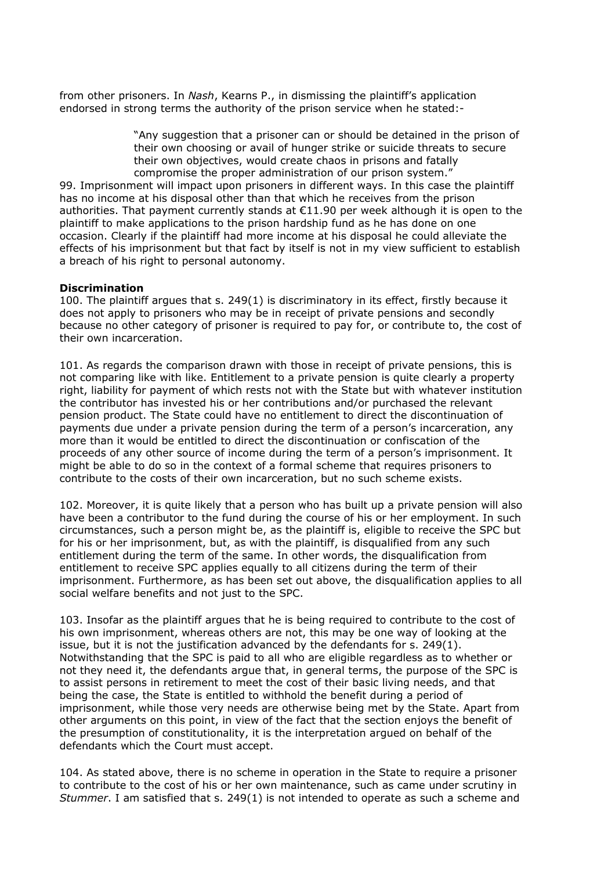from other prisoners. In *Nash*, Kearns P., in dismissing the plaintiff's application endorsed in strong terms the authority of the prison service when he stated:-

> "Any suggestion that a prisoner can or should be detained in the prison of their own choosing or avail of hunger strike or suicide threats to secure their own objectives, would create chaos in prisons and fatally compromise the proper administration of our prison system."

99. Imprisonment will impact upon prisoners in different ways. In this case the plaintiff has no income at his disposal other than that which he receives from the prison authorities. That payment currently stands at €11.90 per week although it is open to the plaintiff to make applications to the prison hardship fund as he has done on one occasion. Clearly if the plaintiff had more income at his disposal he could alleviate the effects of his imprisonment but that fact by itself is not in my view sufficient to establish a breach of his right to personal autonomy.

## **Discrimination**

100. The plaintiff argues that s. 249(1) is discriminatory in its effect, firstly because it does not apply to prisoners who may be in receipt of private pensions and secondly because no other category of prisoner is required to pay for, or contribute to, the cost of their own incarceration.

101. As regards the comparison drawn with those in receipt of private pensions, this is not comparing like with like. Entitlement to a private pension is quite clearly a property right, liability for payment of which rests not with the State but with whatever institution the contributor has invested his or her contributions and/or purchased the relevant pension product. The State could have no entitlement to direct the discontinuation of payments due under a private pension during the term of a person's incarceration, any more than it would be entitled to direct the discontinuation or confiscation of the proceeds of any other source of income during the term of a person's imprisonment. It might be able to do so in the context of a formal scheme that requires prisoners to contribute to the costs of their own incarceration, but no such scheme exists.

102. Moreover, it is quite likely that a person who has built up a private pension will also have been a contributor to the fund during the course of his or her employment. In such circumstances, such a person might be, as the plaintiff is, eligible to receive the SPC but for his or her imprisonment, but, as with the plaintiff, is disqualified from any such entitlement during the term of the same. In other words, the disqualification from entitlement to receive SPC applies equally to all citizens during the term of their imprisonment. Furthermore, as has been set out above, the disqualification applies to all social welfare benefits and not just to the SPC.

103. Insofar as the plaintiff argues that he is being required to contribute to the cost of his own imprisonment, whereas others are not, this may be one way of looking at the issue, but it is not the justification advanced by the defendants for  $s. 249(1)$ . Notwithstanding that the SPC is paid to all who are eligible regardless as to whether or not they need it, the defendants argue that, in general terms, the purpose of the SPC is to assist persons in retirement to meet the cost of their basic living needs, and that being the case, the State is entitled to withhold the benefit during a period of imprisonment, while those very needs are otherwise being met by the State. Apart from other arguments on this point, in view of the fact that the section enjoys the benefit of the presumption of constitutionality, it is the interpretation argued on behalf of the defendants which the Court must accept.

104. As stated above, there is no scheme in operation in the State to require a prisoner to contribute to the cost of his or her own maintenance, such as came under scrutiny in *Stummer*. I am satisfied that s. 249(1) is not intended to operate as such a scheme and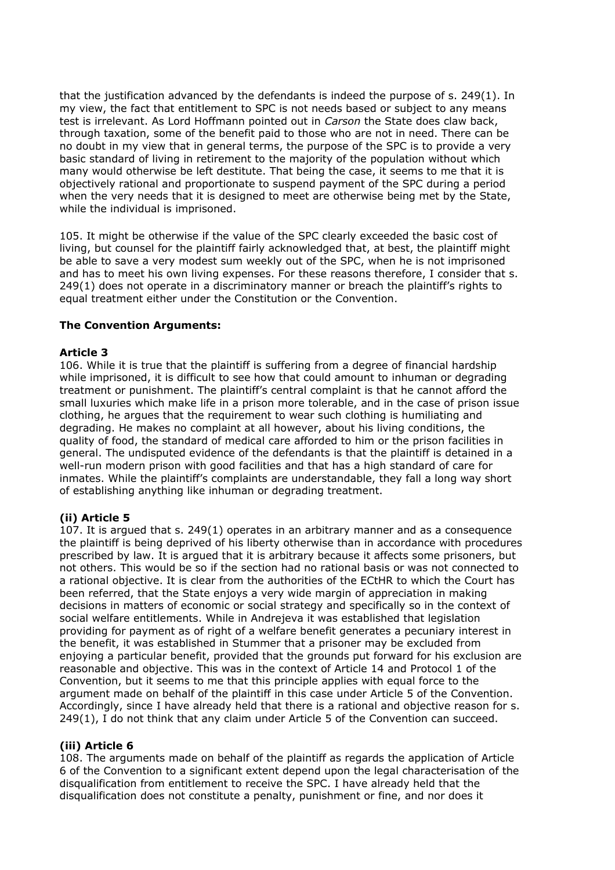that the justification advanced by the defendants is indeed the purpose of s. 249(1). In my view, the fact that entitlement to SPC is not needs based or subject to any means test is irrelevant. As Lord Hoffmann pointed out in *Carson* the State does claw back, through taxation, some of the benefit paid to those who are not in need. There can be no doubt in my view that in general terms, the purpose of the SPC is to provide a very basic standard of living in retirement to the majority of the population without which many would otherwise be left destitute. That being the case, it seems to me that it is objectively rational and proportionate to suspend payment of the SPC during a period when the very needs that it is designed to meet are otherwise being met by the State, while the individual is imprisoned.

105. It might be otherwise if the value of the SPC clearly exceeded the basic cost of living, but counsel for the plaintiff fairly acknowledged that, at best, the plaintiff might be able to save a very modest sum weekly out of the SPC, when he is not imprisoned and has to meet his own living expenses. For these reasons therefore, I consider that s. 249(1) does not operate in a discriminatory manner or breach the plaintiff's rights to equal treatment either under the Constitution or the Convention.

## **The Convention Arguments:**

## **Article 3**

106. While it is true that the plaintiff is suffering from a degree of financial hardship while imprisoned, it is difficult to see how that could amount to inhuman or degrading treatment or punishment. The plaintiff's central complaint is that he cannot afford the small luxuries which make life in a prison more tolerable, and in the case of prison issue clothing, he argues that the requirement to wear such clothing is humiliating and degrading. He makes no complaint at all however, about his living conditions, the quality of food, the standard of medical care afforded to him or the prison facilities in general. The undisputed evidence of the defendants is that the plaintiff is detained in a well-run modern prison with good facilities and that has a high standard of care for inmates. While the plaintiff's complaints are understandable, they fall a long way short of establishing anything like inhuman or degrading treatment.

# **(ii) Article 5**

107. It is argued that s. 249(1) operates in an arbitrary manner and as a consequence the plaintiff is being deprived of his liberty otherwise than in accordance with procedures prescribed by law. It is argued that it is arbitrary because it affects some prisoners, but not others. This would be so if the section had no rational basis or was not connected to a rational objective. It is clear from the authorities of the ECtHR to which the Court has been referred, that the State enjoys a very wide margin of appreciation in making decisions in matters of economic or social strategy and specifically so in the context of social welfare entitlements. While in Andrejeva it was established that legislation providing for payment as of right of a welfare benefit generates a pecuniary interest in the benefit, it was established in Stummer that a prisoner may be excluded from enjoying a particular benefit, provided that the grounds put forward for his exclusion are reasonable and objective. This was in the context of Article 14 and Protocol 1 of the Convention, but it seems to me that this principle applies with equal force to the argument made on behalf of the plaintiff in this case under Article 5 of the Convention. Accordingly, since I have already held that there is a rational and objective reason for s. 249(1), I do not think that any claim under Article 5 of the Convention can succeed.

## **(iii) Article 6**

108. The arguments made on behalf of the plaintiff as regards the application of Article 6 of the Convention to a significant extent depend upon the legal characterisation of the disqualification from entitlement to receive the SPC. I have already held that the disqualification does not constitute a penalty, punishment or fine, and nor does it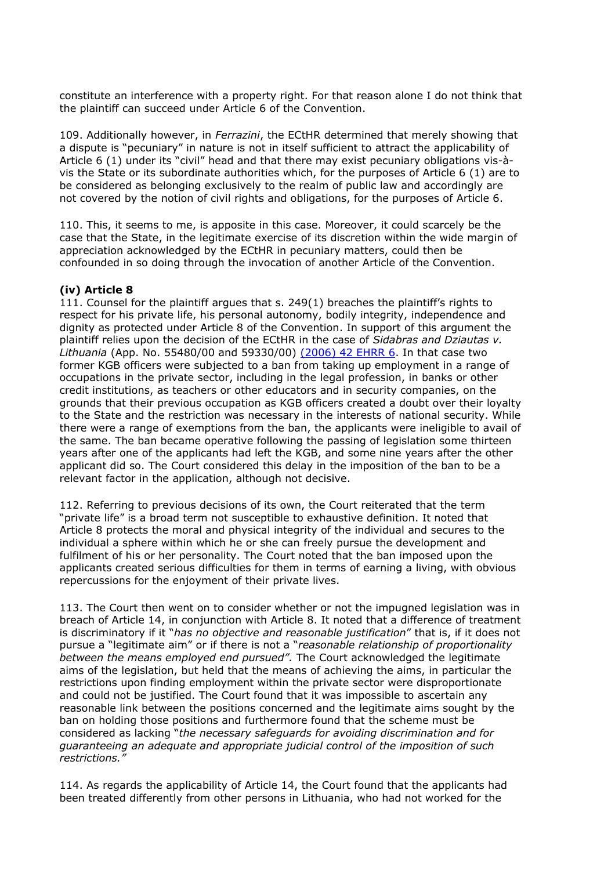constitute an interference with a property right. For that reason alone I do not think that the plaintiff can succeed under Article 6 of the Convention.

109. Additionally however, in *Ferrazini*, the ECtHR determined that merely showing that a dispute is "pecuniary" in nature is not in itself sufficient to attract the applicability of Article 6 (1) under its "civil" head and that there may exist pecuniary obligations vis-àvis the State or its subordinate authorities which, for the purposes of Article 6 (1) are to be considered as belonging exclusively to the realm of public law and accordingly are not covered by the notion of civil rights and obligations, for the purposes of Article 6.

110. This, it seems to me, is apposite in this case. Moreover, it could scarcely be the case that the State, in the legitimate exercise of its discretion within the wide margin of appreciation acknowledged by the ECtHR in pecuniary matters, could then be confounded in so doing through the invocation of another Article of the Convention.

## **(iv) Article 8**

111. Counsel for the plaintiff argues that s. 249(1) breaches the plaintiff's rights to respect for his private life, his personal autonomy, bodily integrity, independence and dignity as protected under Article 8 of the Convention. In support of this argument the plaintiff relies upon the decision of the ECtHR in the case of *Sidabras and Dziautas v. Lithuania* (App. No. 55480/00 and 59330/00) [\(2006\) 42 EHRR 6.](http://www.bailii.org/cgi-bin/redirect.cgi?path=/eu/cases/ECHR/2004/395.html) In that case two former KGB officers were subjected to a ban from taking up employment in a range of occupations in the private sector, including in the legal profession, in banks or other credit institutions, as teachers or other educators and in security companies, on the grounds that their previous occupation as KGB officers created a doubt over their loyalty to the State and the restriction was necessary in the interests of national security. While there were a range of exemptions from the ban, the applicants were ineligible to avail of the same. The ban became operative following the passing of legislation some thirteen years after one of the applicants had left the KGB, and some nine years after the other applicant did so. The Court considered this delay in the imposition of the ban to be a relevant factor in the application, although not decisive.

112. Referring to previous decisions of its own, the Court reiterated that the term "private life" is a broad term not susceptible to exhaustive definition. It noted that Article 8 protects the moral and physical integrity of the individual and secures to the individual a sphere within which he or she can freely pursue the development and fulfilment of his or her personality. The Court noted that the ban imposed upon the applicants created serious difficulties for them in terms of earning a living, with obvious repercussions for the enjoyment of their private lives.

113. The Court then went on to consider whether or not the impugned legislation was in breach of Article 14, in conjunction with Article 8. It noted that a difference of treatment is discriminatory if it "*has no objective and reasonable justification*" that is, if it does not pursue a "legitimate aim" or if there is not a "*reasonable relationship of proportionality between the means employed end pursued".* The Court acknowledged the legitimate aims of the legislation, but held that the means of achieving the aims, in particular the restrictions upon finding employment within the private sector were disproportionate and could not be justified. The Court found that it was impossible to ascertain any reasonable link between the positions concerned and the legitimate aims sought by the ban on holding those positions and furthermore found that the scheme must be considered as lacking "*the necessary safeguards for avoiding discrimination and for guaranteeing an adequate and appropriate judicial control of the imposition of such restrictions."*

114. As regards the applicability of Article 14, the Court found that the applicants had been treated differently from other persons in Lithuania, who had not worked for the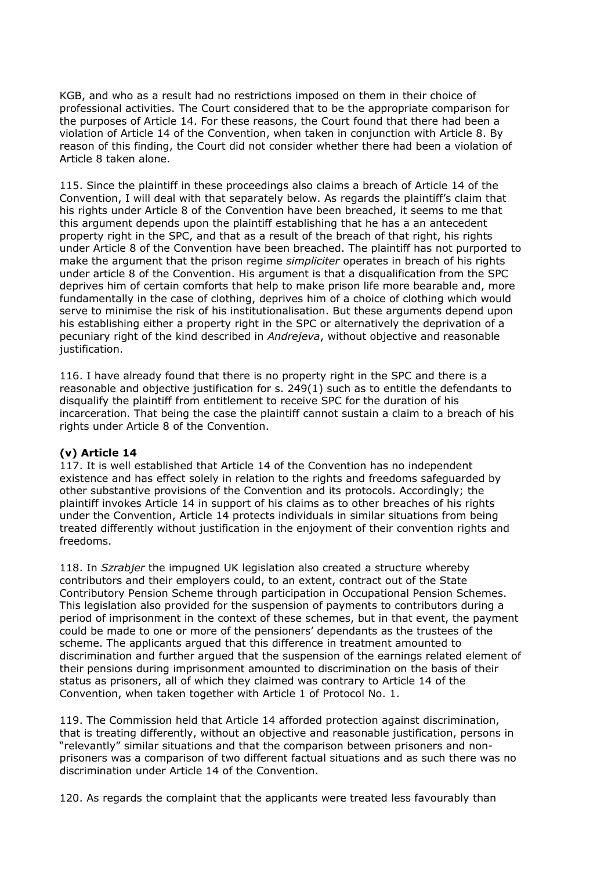KGB, and who as a result had no restrictions imposed on them in their choice of professional activities. The Court considered that to be the appropriate comparison for the purposes of Article 14. For these reasons, the Court found that there had been a violation of Article 14 of the Convention, when taken in conjunction with Article 8. By reason of this finding, the Court did not consider whether there had been a violation of Article 8 taken alone.

115. Since the plaintiff in these proceedings also claims a breach of Article 14 of the Convention, I will deal with that separately below. As regards the plaintiff's claim that his rights under Article 8 of the Convention have been breached, it seems to me that this argument depends upon the plaintiff establishing that he has a an antecedent property right in the SPC, and that as a result of the breach of that right, his rights under Article 8 of the Convention have been breached. The plaintiff has not purported to make the argument that the prison regime *simpliciter* operates in breach of his rights under article 8 of the Convention. His argument is that a disqualification from the SPC deprives him of certain comforts that help to make prison life more bearable and, more fundamentally in the case of clothing, deprives him of a choice of clothing which would serve to minimise the risk of his institutionalisation. But these arguments depend upon his establishing either a property right in the SPC or alternatively the deprivation of a pecuniary right of the kind described in *Andrejeva*, without objective and reasonable justification.

116. I have already found that there is no property right in the SPC and there is a reasonable and objective justification for s. 249(1) such as to entitle the defendants to disqualify the plaintiff from entitlement to receive SPC for the duration of his incarceration. That being the case the plaintiff cannot sustain a claim to a breach of his rights under Article 8 of the Convention.

# **(v) Article 14**

117. It is well established that Article 14 of the Convention has no independent existence and has effect solely in relation to the rights and freedoms safeguarded by other substantive provisions of the Convention and its protocols. Accordingly; the plaintiff invokes Article 14 in support of his claims as to other breaches of his rights under the Convention, Article 14 protects individuals in similar situations from being treated differently without justification in the enjoyment of their convention rights and freedoms.

118. In *Szrabjer* the impugned UK legislation also created a structure whereby contributors and their employers could, to an extent, contract out of the State Contributory Pension Scheme through participation in Occupational Pension Schemes. This legislation also provided for the suspension of payments to contributors during a period of imprisonment in the context of these schemes, but in that event, the payment could be made to one or more of the pensioners' dependants as the trustees of the scheme. The applicants argued that this difference in treatment amounted to discrimination and further argued that the suspension of the earnings related element of their pensions during imprisonment amounted to discrimination on the basis of their status as prisoners, all of which they claimed was contrary to Article 14 of the Convention, when taken together with Article 1 of Protocol No. 1.

119. The Commission held that Article 14 afforded protection against discrimination, that is treating differently, without an objective and reasonable justification, persons in "relevantly" similar situations and that the comparison between prisoners and nonprisoners was a comparison of two different factual situations and as such there was no discrimination under Article 14 of the Convention.

120. As regards the complaint that the applicants were treated less favourably than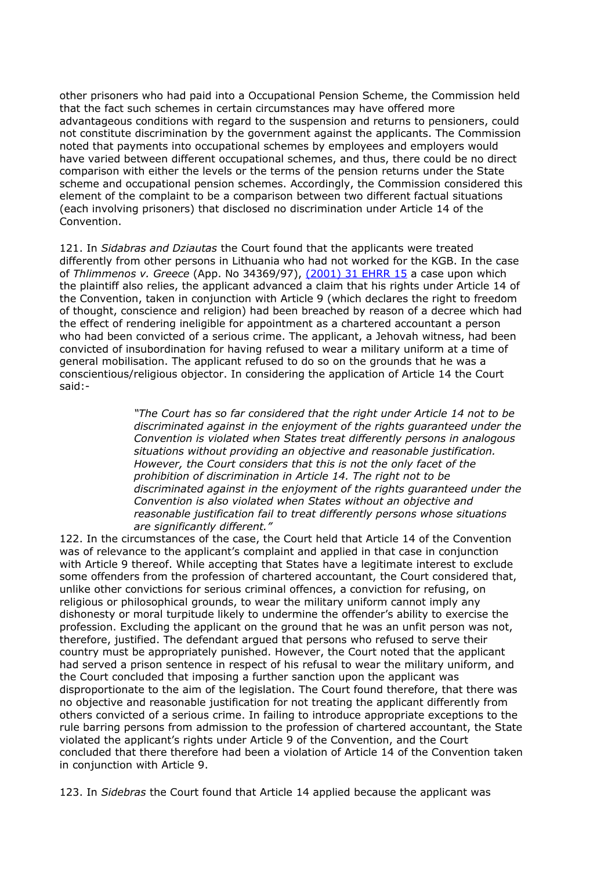other prisoners who had paid into a Occupational Pension Scheme, the Commission held that the fact such schemes in certain circumstances may have offered more advantageous conditions with regard to the suspension and returns to pensioners, could not constitute discrimination by the government against the applicants. The Commission noted that payments into occupational schemes by employees and employers would have varied between different occupational schemes, and thus, there could be no direct comparison with either the levels or the terms of the pension returns under the State scheme and occupational pension schemes. Accordingly, the Commission considered this element of the complaint to be a comparison between two different factual situations (each involving prisoners) that disclosed no discrimination under Article 14 of the Convention.

121. In *Sidabras and Dziautas* the Court found that the applicants were treated differently from other persons in Lithuania who had not worked for the KGB. In the case of *Thlimmenos v. Greece* (App. No 34369/97), [\(2001\) 31 EHRR 15](http://www.bailii.org/cgi-bin/redirect.cgi?path=/eu/cases/ECHR/2000/162.html) a case upon which the plaintiff also relies, the applicant advanced a claim that his rights under Article 14 of the Convention, taken in conjunction with Article 9 (which declares the right to freedom of thought, conscience and religion) had been breached by reason of a decree which had the effect of rendering ineligible for appointment as a chartered accountant a person who had been convicted of a serious crime. The applicant, a Jehovah witness, had been convicted of insubordination for having refused to wear a military uniform at a time of general mobilisation. The applicant refused to do so on the grounds that he was a conscientious/religious objector. In considering the application of Article 14 the Court said:-

> *"The Court has so far considered that the right under Article 14 not to be discriminated against in the enjoyment of the rights guaranteed under the Convention is violated when States treat differently persons in analogous situations without providing an objective and reasonable justification. However, the Court considers that this is not the only facet of the prohibition of discrimination in Article 14. The right not to be discriminated against in the enjoyment of the rights guaranteed under the Convention is also violated when States without an objective and reasonable justification fail to treat differently persons whose situations are significantly different."*

122. In the circumstances of the case, the Court held that Article 14 of the Convention was of relevance to the applicant's complaint and applied in that case in conjunction with Article 9 thereof. While accepting that States have a legitimate interest to exclude some offenders from the profession of chartered accountant, the Court considered that, unlike other convictions for serious criminal offences, a conviction for refusing, on religious or philosophical grounds, to wear the military uniform cannot imply any dishonesty or moral turpitude likely to undermine the offender's ability to exercise the profession. Excluding the applicant on the ground that he was an unfit person was not, therefore, justified. The defendant argued that persons who refused to serve their country must be appropriately punished. However, the Court noted that the applicant had served a prison sentence in respect of his refusal to wear the military uniform, and the Court concluded that imposing a further sanction upon the applicant was disproportionate to the aim of the legislation. The Court found therefore, that there was no objective and reasonable justification for not treating the applicant differently from others convicted of a serious crime. In failing to introduce appropriate exceptions to the rule barring persons from admission to the profession of chartered accountant, the State violated the applicant's rights under Article 9 of the Convention, and the Court concluded that there therefore had been a violation of Article 14 of the Convention taken in conjunction with Article 9.

123. In *Sidebras* the Court found that Article 14 applied because the applicant was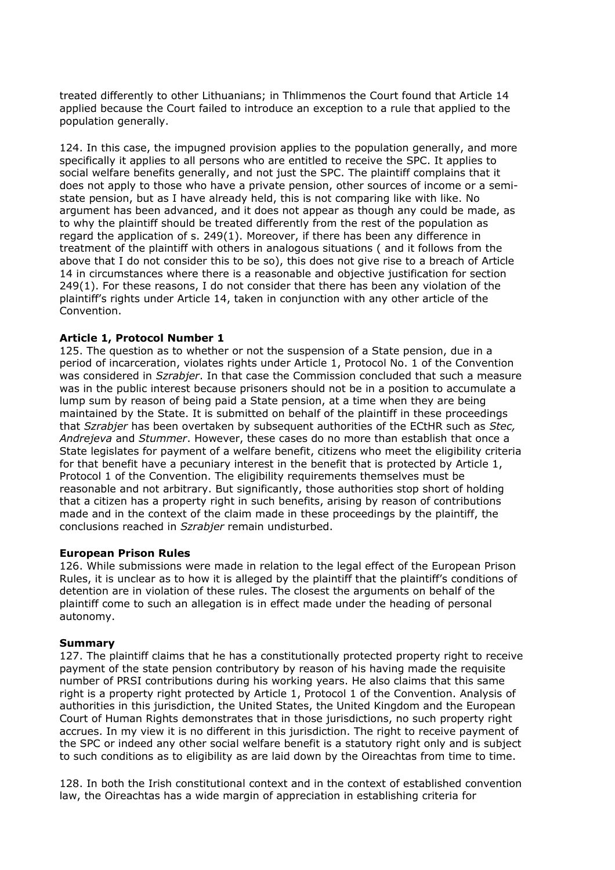treated differently to other Lithuanians; in Thlimmenos the Court found that Article 14 applied because the Court failed to introduce an exception to a rule that applied to the population generally.

124. In this case, the impugned provision applies to the population generally, and more specifically it applies to all persons who are entitled to receive the SPC. It applies to social welfare benefits generally, and not just the SPC. The plaintiff complains that it does not apply to those who have a private pension, other sources of income or a semistate pension, but as I have already held, this is not comparing like with like. No argument has been advanced, and it does not appear as though any could be made, as to why the plaintiff should be treated differently from the rest of the population as regard the application of s. 249(1). Moreover, if there has been any difference in treatment of the plaintiff with others in analogous situations ( and it follows from the above that I do not consider this to be so), this does not give rise to a breach of Article 14 in circumstances where there is a reasonable and objective justification for section 249(1). For these reasons, I do not consider that there has been any violation of the plaintiff's rights under Article 14, taken in conjunction with any other article of the Convention.

## **Article 1, Protocol Number 1**

125. The question as to whether or not the suspension of a State pension, due in a period of incarceration, violates rights under Article 1, Protocol No. 1 of the Convention was considered in *Szrabjer*. In that case the Commission concluded that such a measure was in the public interest because prisoners should not be in a position to accumulate a lump sum by reason of being paid a State pension, at a time when they are being maintained by the State. It is submitted on behalf of the plaintiff in these proceedings that *Szrabjer* has been overtaken by subsequent authorities of the ECtHR such as *Stec, Andrejeva* and *Stummer*. However, these cases do no more than establish that once a State legislates for payment of a welfare benefit, citizens who meet the eligibility criteria for that benefit have a pecuniary interest in the benefit that is protected by Article 1, Protocol 1 of the Convention. The eligibility requirements themselves must be reasonable and not arbitrary. But significantly, those authorities stop short of holding that a citizen has a property right in such benefits, arising by reason of contributions made and in the context of the claim made in these proceedings by the plaintiff, the conclusions reached in *Szrabjer* remain undisturbed.

## **European Prison Rules**

126. While submissions were made in relation to the legal effect of the European Prison Rules, it is unclear as to how it is alleged by the plaintiff that the plaintiff's conditions of detention are in violation of these rules. The closest the arguments on behalf of the plaintiff come to such an allegation is in effect made under the heading of personal autonomy.

## **Summary**

127. The plaintiff claims that he has a constitutionally protected property right to receive payment of the state pension contributory by reason of his having made the requisite number of PRSI contributions during his working years. He also claims that this same right is a property right protected by Article 1, Protocol 1 of the Convention. Analysis of authorities in this jurisdiction, the United States, the United Kingdom and the European Court of Human Rights demonstrates that in those jurisdictions, no such property right accrues. In my view it is no different in this jurisdiction. The right to receive payment of the SPC or indeed any other social welfare benefit is a statutory right only and is subject to such conditions as to eligibility as are laid down by the Oireachtas from time to time.

128. In both the Irish constitutional context and in the context of established convention law, the Oireachtas has a wide margin of appreciation in establishing criteria for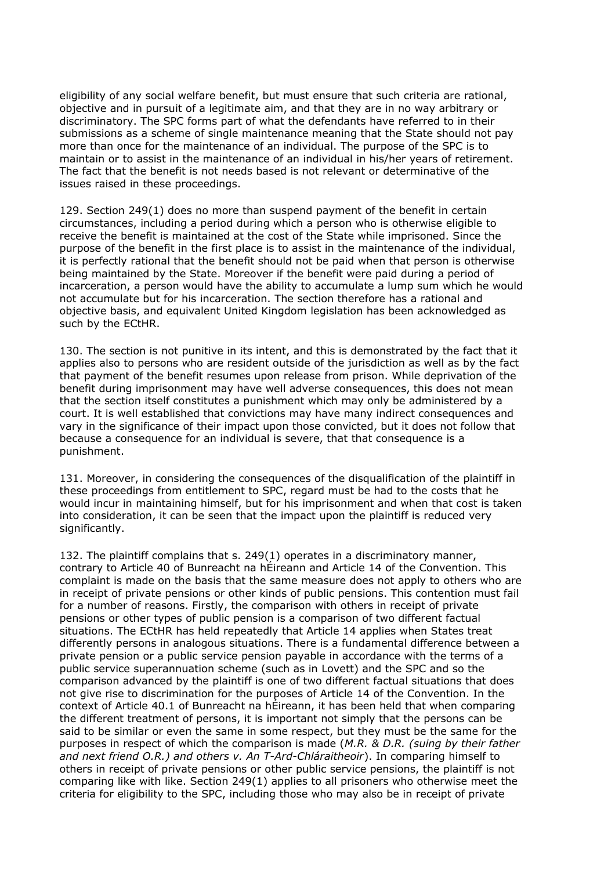eligibility of any social welfare benefit, but must ensure that such criteria are rational, objective and in pursuit of a legitimate aim, and that they are in no way arbitrary or discriminatory. The SPC forms part of what the defendants have referred to in their submissions as a scheme of single maintenance meaning that the State should not pay more than once for the maintenance of an individual. The purpose of the SPC is to maintain or to assist in the maintenance of an individual in his/her years of retirement. The fact that the benefit is not needs based is not relevant or determinative of the issues raised in these proceedings.

129. Section 249(1) does no more than suspend payment of the benefit in certain circumstances, including a period during which a person who is otherwise eligible to receive the benefit is maintained at the cost of the State while imprisoned. Since the purpose of the benefit in the first place is to assist in the maintenance of the individual, it is perfectly rational that the benefit should not be paid when that person is otherwise being maintained by the State. Moreover if the benefit were paid during a period of incarceration, a person would have the ability to accumulate a lump sum which he would not accumulate but for his incarceration. The section therefore has a rational and objective basis, and equivalent United Kingdom legislation has been acknowledged as such by the ECtHR.

130. The section is not punitive in its intent, and this is demonstrated by the fact that it applies also to persons who are resident outside of the jurisdiction as well as by the fact that payment of the benefit resumes upon release from prison. While deprivation of the benefit during imprisonment may have well adverse consequences, this does not mean that the section itself constitutes a punishment which may only be administered by a court. It is well established that convictions may have many indirect consequences and vary in the significance of their impact upon those convicted, but it does not follow that because a consequence for an individual is severe, that that consequence is a punishment.

131. Moreover, in considering the consequences of the disqualification of the plaintiff in these proceedings from entitlement to SPC, regard must be had to the costs that he would incur in maintaining himself, but for his imprisonment and when that cost is taken into consideration, it can be seen that the impact upon the plaintiff is reduced very significantly.

132. The plaintiff complains that s. 249(1) operates in a discriminatory manner, contrary to Article 40 of Bunreacht na hÉireann and Article 14 of the Convention. This complaint is made on the basis that the same measure does not apply to others who are in receipt of private pensions or other kinds of public pensions. This contention must fail for a number of reasons. Firstly, the comparison with others in receipt of private pensions or other types of public pension is a comparison of two different factual situations. The ECtHR has held repeatedly that Article 14 applies when States treat differently persons in analogous situations. There is a fundamental difference between a private pension or a public service pension payable in accordance with the terms of a public service superannuation scheme (such as in Lovett) and the SPC and so the comparison advanced by the plaintiff is one of two different factual situations that does not give rise to discrimination for the purposes of Article 14 of the Convention. In the context of Article 40.1 of Bunreacht na hÉireann, it has been held that when comparing the different treatment of persons, it is important not simply that the persons can be said to be similar or even the same in some respect, but they must be the same for the purposes in respect of which the comparison is made (*M.R. & D.R. (suing by their father and next friend O.R.) and others v. An T-Ard-Chláraitheoir*). In comparing himself to others in receipt of private pensions or other public service pensions, the plaintiff is not comparing like with like. Section 249(1) applies to all prisoners who otherwise meet the criteria for eligibility to the SPC, including those who may also be in receipt of private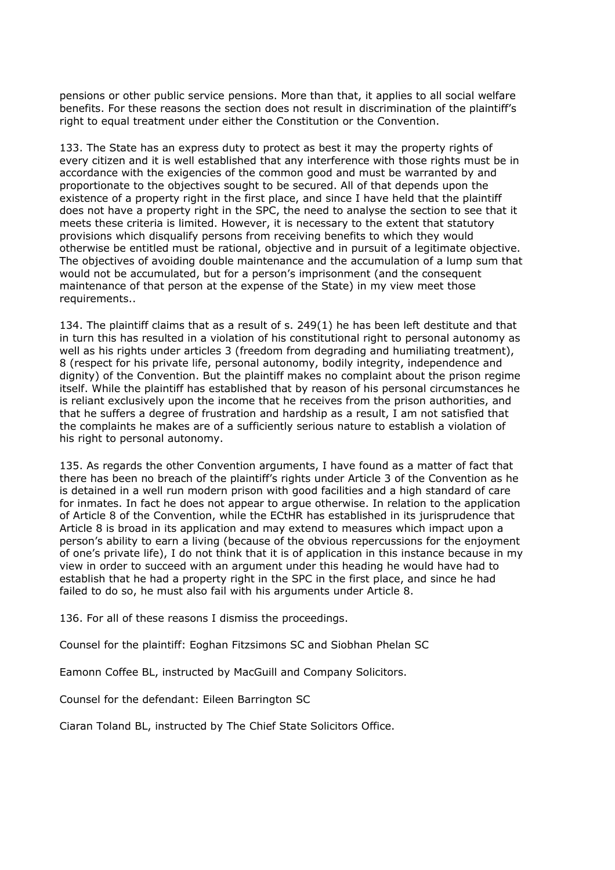pensions or other public service pensions. More than that, it applies to all social welfare benefits. For these reasons the section does not result in discrimination of the plaintiff's right to equal treatment under either the Constitution or the Convention.

133. The State has an express duty to protect as best it may the property rights of every citizen and it is well established that any interference with those rights must be in accordance with the exigencies of the common good and must be warranted by and proportionate to the objectives sought to be secured. All of that depends upon the existence of a property right in the first place, and since I have held that the plaintiff does not have a property right in the SPC, the need to analyse the section to see that it meets these criteria is limited. However, it is necessary to the extent that statutory provisions which disqualify persons from receiving benefits to which they would otherwise be entitled must be rational, objective and in pursuit of a legitimate objective. The objectives of avoiding double maintenance and the accumulation of a lump sum that would not be accumulated, but for a person's imprisonment (and the consequent maintenance of that person at the expense of the State) in my view meet those requirements..

134. The plaintiff claims that as a result of s. 249(1) he has been left destitute and that in turn this has resulted in a violation of his constitutional right to personal autonomy as well as his rights under articles 3 (freedom from degrading and humiliating treatment), 8 (respect for his private life, personal autonomy, bodily integrity, independence and dignity) of the Convention. But the plaintiff makes no complaint about the prison regime itself. While the plaintiff has established that by reason of his personal circumstances he is reliant exclusively upon the income that he receives from the prison authorities, and that he suffers a degree of frustration and hardship as a result, I am not satisfied that the complaints he makes are of a sufficiently serious nature to establish a violation of his right to personal autonomy.

135. As regards the other Convention arguments, I have found as a matter of fact that there has been no breach of the plaintiff's rights under Article 3 of the Convention as he is detained in a well run modern prison with good facilities and a high standard of care for inmates. In fact he does not appear to argue otherwise. In relation to the application of Article 8 of the Convention, while the ECtHR has established in its jurisprudence that Article 8 is broad in its application and may extend to measures which impact upon a person's ability to earn a living (because of the obvious repercussions for the enjoyment of one's private life), I do not think that it is of application in this instance because in my view in order to succeed with an argument under this heading he would have had to establish that he had a property right in the SPC in the first place, and since he had failed to do so, he must also fail with his arguments under Article 8.

136. For all of these reasons I dismiss the proceedings.

Counsel for the plaintiff: Eoghan Fitzsimons SC and Siobhan Phelan SC

Eamonn Coffee BL, instructed by MacGuill and Company Solicitors.

Counsel for the defendant: Eileen Barrington SC

Ciaran Toland BL, instructed by The Chief State Solicitors Office.